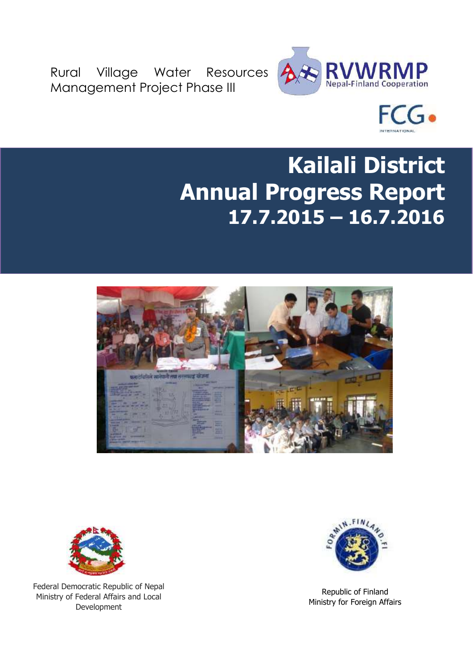Rural Village Water Resources Management Project Phase III





# **Kailali District Annual Progress Report 17.7.2015 – 16.7.2016**





Federal Democratic Republic of Nepal Ministry of Federal Affairs and Local Development



Republic of Finland Ministry for Foreign Affairs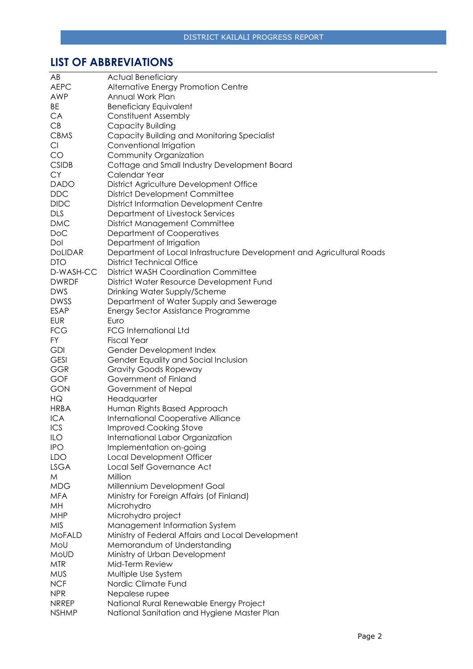# <span id="page-1-0"></span>**LIST OF ABBREVIATIONS**

| AB             | <b>Actual Beneficiary</b>                                             |
|----------------|-----------------------------------------------------------------------|
| <b>AEPC</b>    | Alternative Energy Promotion Centre                                   |
| <b>AWP</b>     | Annual Work Plan                                                      |
| BE             | <b>Beneficiary Equivalent</b>                                         |
| CA             | <b>Constituent Assembly</b>                                           |
| CB             | Capacity Building                                                     |
| <b>CBMS</b>    | Capacity Building and Monitoring Specialist                           |
| Cl             | Conventional Irrigation                                               |
| CO             | Community Organization                                                |
| <b>CSIDB</b>   | Cottage and Small Industry Development Board                          |
| <b>CY</b>      | Calendar Year                                                         |
| <b>DADO</b>    | District Agriculture Development Office                               |
| <b>DDC</b>     | <b>District Development Committee</b>                                 |
| <b>DIDC</b>    | <b>District Information Development Centre</b>                        |
| <b>DLS</b>     |                                                                       |
| <b>DMC</b>     | Department of Livestock Services                                      |
|                | <b>District Management Committee</b>                                  |
| DoC            | Department of Cooperatives                                            |
| Dol            | Department of Irrigation                                              |
| <b>DoLIDAR</b> | Department of Local Infrastructure Development and Agricultural Roads |
| <b>DTO</b>     | District Technical Office                                             |
| D-WASH-CC      | <b>District WASH Coordination Committee</b>                           |
| <b>DWRDF</b>   | District Water Resource Development Fund                              |
| <b>DWS</b>     | Drinking Water Supply/Scheme                                          |
| <b>DWSS</b>    | Department of Water Supply and Sewerage                               |
| <b>ESAP</b>    | Energy Sector Assistance Programme                                    |
| <b>EUR</b>     | Euro                                                                  |
| <b>FCG</b>     | <b>FCG International Ltd</b>                                          |
| FY             | <b>Fiscal Year</b>                                                    |
| <b>GDI</b>     | Gender Development Index                                              |
| <b>GESI</b>    | Gender Equality and Social Inclusion                                  |
| <b>GGR</b>     | <b>Gravity Goods Ropeway</b>                                          |
| <b>GOF</b>     | Government of Finland                                                 |
| <b>GON</b>     | Government of Nepal                                                   |
| HQ             | Headquarter                                                           |
| <b>HRBA</b>    | Human Rights Based Approach                                           |
| <b>ICA</b>     | <b>International Cooperative Alliance</b>                             |
| ICS            | <b>Improved Cooking Stove</b>                                         |
| ILO            | International Labor Organization                                      |
| <b>IPO</b>     | Implementation on-going                                               |
| <b>LDO</b>     | Local Development Officer                                             |
| <b>LSGA</b>    | Local Self Governance Act                                             |
| M              | Million                                                               |
| <b>MDG</b>     | Millennium Development Goal                                           |
| <b>MFA</b>     | Ministry for Foreign Affairs (of Finland)                             |
| MH             | Microhydro                                                            |
| <b>MHP</b>     | Microhydro project                                                    |
| <b>MIS</b>     | Management Information System                                         |
| <b>MoFALD</b>  | Ministry of Federal Affairs and Local Development                     |
| MoU            | Memorandum of Understanding                                           |
| MoUD           | Ministry of Urban Development                                         |
| <b>MTR</b>     | Mid-Term Review                                                       |
| <b>MUS</b>     | Multiple Use System                                                   |
| <b>NCF</b>     | Nordic Climate Fund                                                   |
| <b>NPR</b>     | Nepalese rupee                                                        |
| <b>NRREP</b>   | National Rural Renewable Energy Project                               |
| <b>NSHMP</b>   | National Sanitation and Hygiene Master Plan                           |
|                |                                                                       |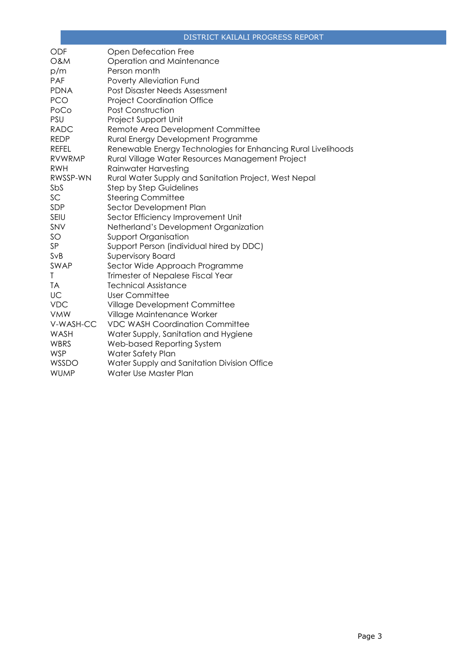| <b>ODF</b>     | Open Defecation Free                                          |
|----------------|---------------------------------------------------------------|
| <b>O&amp;M</b> | Operation and Maintenance                                     |
| p/m            | Person month                                                  |
| PAF            | Poverty Alleviation Fund                                      |
| <b>PDNA</b>    | Post Disaster Needs Assessment                                |
| <b>PCO</b>     | <b>Project Coordination Office</b>                            |
| PoCo           | Post Construction                                             |
| PSU            | Project Support Unit                                          |
| <b>RADC</b>    | Remote Area Development Committee                             |
| <b>REDP</b>    | Rural Energy Development Programme                            |
| <b>REFEL</b>   | Renewable Energy Technologies for Enhancing Rural Livelihoods |
| <b>RVWRMP</b>  | Rural Village Water Resources Management Project              |
| <b>RWH</b>     | Rainwater Harvesting                                          |
| RWSSP-WN       | Rural Water Supply and Sanitation Project, West Nepal         |
| SbS            | <b>Step by Step Guidelines</b>                                |
| SC             | <b>Steering Committee</b>                                     |
| SDP            | Sector Development Plan                                       |
| SEIU           | Sector Efficiency Improvement Unit                            |
| SNV            | Netherland's Development Organization                         |
| SO             | <b>Support Organisation</b>                                   |
| SP             | Support Person (individual hired by DDC)                      |
| SvB            | <b>Supervisory Board</b>                                      |
| SWAP           | Sector Wide Approach Programme                                |
| T              | Trimester of Nepalese Fiscal Year                             |
| <b>TA</b>      | <b>Technical Assistance</b>                                   |
| UC             | <b>User Committee</b>                                         |
| <b>VDC</b>     | Village Development Committee                                 |
| <b>VMW</b>     | Village Maintenance Worker                                    |
| V-WASH-CC      | <b>VDC WASH Coordination Committee</b>                        |
| WASH           | Water Supply, Sanitation and Hygiene                          |
| <b>WBRS</b>    | Web-based Reporting System                                    |
| <b>WSP</b>     | Water Safety Plan                                             |
| WSSDO          | Water Supply and Sanitation Division Office                   |
| <b>WUMP</b>    | Water Use Master Plan                                         |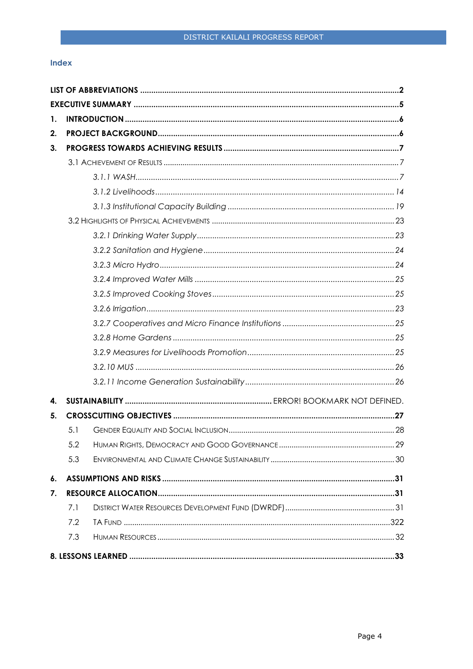#### Index

| 1.           |     |  |
|--------------|-----|--|
| 2.           |     |  |
| 3.           |     |  |
|              |     |  |
|              |     |  |
|              |     |  |
|              |     |  |
|              |     |  |
|              |     |  |
|              |     |  |
|              |     |  |
|              |     |  |
|              |     |  |
|              |     |  |
|              |     |  |
|              |     |  |
|              |     |  |
|              |     |  |
|              |     |  |
| $\mathbf{4}$ |     |  |
| 5.           |     |  |
|              | 5.1 |  |
|              | 5.2 |  |
|              | 5.3 |  |
| 6.           |     |  |
| 7.           |     |  |
|              | 7.1 |  |
|              | 7.2 |  |
|              | 7.3 |  |
|              |     |  |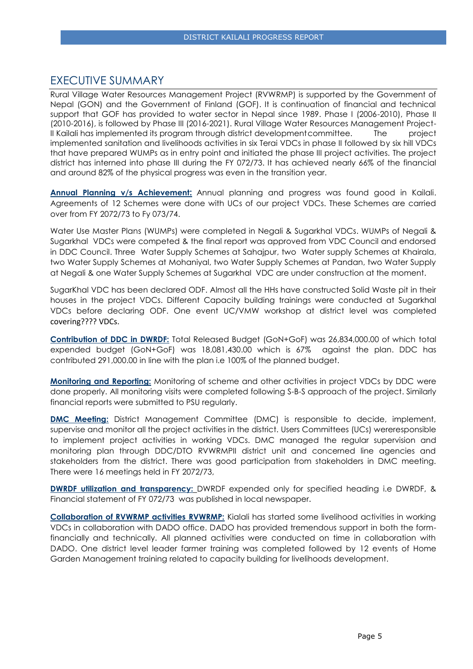## <span id="page-4-0"></span>EXECUTIVE SUMMARY

Rural Village Water Resources Management Project (RVWRMP) is supported by the Government of Nepal (GON) and the Government of Finland (GOF). It is continuation of financial and technical support that GOF has provided to water sector in Nepal since 1989. Phase I (2006-2010), Phase II (2010-2016), is followed by Phase III (2016-2021). Rural Village Water Resources Management Project-II Kailali has implemented its program through district development committee. The project implemented sanitation and livelihoods activities in six Terai VDCs in phase II followed by six hill VDCs that have prepared WUMPs as in entry point and initiated the phase III project activities. The project district has interned into phase III during the FY 072/73. It has achieved nearly 66% of the financial and around 82% of the physical progress was even in the transition year.

**Annual Planning v/s Achievement:** Annual planning and progress was found good in Kailali. Agreements of 12 Schemes were done with UCs of our project VDCs. These Schemes are carried over from FY 2072/73 to Fy 073/74.

Water Use Master Plans (WUMPs) were completed in Negali & Sugarkhal VDCs. WUMPs of Negali & Sugarkhal VDCs were competed & the final report was approved from VDC Council and endorsed in DDC Council. Three Water Supply Schemes at Sahajpur, two Water supply Schemes at Khairala, two Water Supply Schemes at Mohaniyal, two Water Supply Schemes at Pandan, two Water Supply at Negali & one Water Supply Schemes at Sugarkhal VDC are under construction at the moment.

SugarKhal VDC has been declared ODF. Almost all the HHs have constructed Solid Waste pit in their houses in the project VDCs. Different Capacity building trainings were conducted at Sugarkhal VDCs before declaring ODF. One event UC/VMW workshop at district level was completed covering???? VDCs.

**Contribution of DDC in DWRDF:** Total Released Budget (GoN+GoF) was 26,834,000.00 of which total expended budget (GoN+GoF) was 18,081,430.00 which is 67% against the plan. DDC has contributed 291,000.00 in line with the plan i.e 100% of the planned budget.

**Monitoring and Reporting:** Monitoring of scheme and other activities in project VDCs by DDC were done properly. All monitoring visits were completed following S-B-S approach of the project. Similarly financial reports were submitted to PSU regularly.

**DMC Meeting:** District Management Committee (DMC) is responsible to decide, implement, supervise and monitor all the project activities in the district. Users Committees (UCs) wereresponsible to implement project activities in working VDCs. DMC managed the regular supervision and monitoring plan through DDC/DTO RVWRMPII district unit and concerned line agencies and stakeholders from the district. There was good participation from stakeholders in DMC meeting. There were 16 meetings held in FY 2072/73,

**DWRDF utilization and transparency:** DWRDF expended only for specified heading i.e DWRDF, & Financial statement of FY 072/73 was published in local newspaper.

**Collaboration of RVWRMP activities RVWRMP:** Kialali has started some livelihood activities in working VDCs in collaboration with DADO office. DADO has provided tremendous support in both the formfinancially and technically. All planned activities were conducted on time in collaboration with DADO. One district level leader farmer training was completed followed by 12 events of Home Garden Management training related to capacity building for livelihoods development.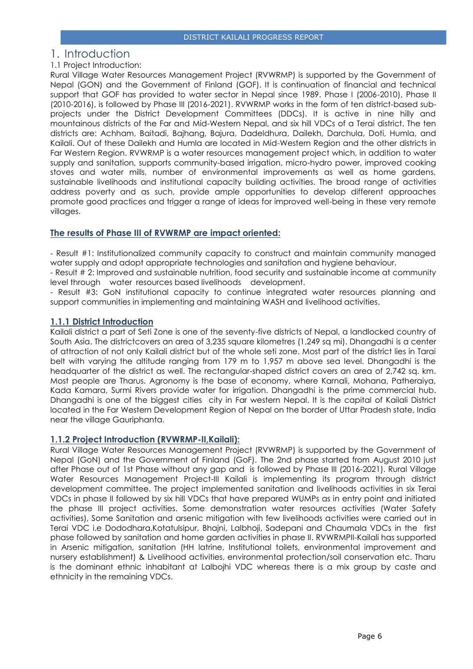## <span id="page-5-0"></span>1. Introduction

## 1.1 Project Introduction:

Rural Village Water Resources Management Project (RVWRMP) is supported by the Government of Nepal (GON) and the Government of Finland (GOF). It is continuation of financial and technical support that GOF has provided to water sector in Nepal since 1989. Phase I (2006-2010), Phase II (2010-2016), is followed by Phase III (2016-2021). RVWRMP works in the form of ten district-based subprojects under the District Development Committees (DDCs). It is active in nine hilly and mountainous districts of the Far and Mid-Western Nepal, and six hill VDCs of a Terai district. The ten districts are: Achham, Baitadi, Bajhang, Bajura, Dadeldhura, Dailekh, Darchula, Doti, Humla, and Kailali. Out of these Dailekh and Humla are located in Mid-Western Region and the other districts in Far Western Region. RVWRMP is a water resources management project which, in addition to water supply and sanitation, supports community-based irrigation, micro-hydro power, improved cooking stoves and water mills, number of environmental improvements as well as home gardens, sustainable livelihoods and institutional capacity building activities. The broad range of activities address poverty and as such, provide ample opportunities to develop different approaches promote good practices and trigger a range of ideas for improved well-being in these very remote villages.

## **The results of Phase III of RVWRMP are impact oriented:**

- Result #1: Institutionalized community capacity to construct and maintain community managed water supply and adopt appropriate technologies and sanitation and hygiene behaviour.

- Result # 2: Improved and sustainable nutrition, food security and sustainable income at community level through water resources based livelihoods development.

- Result #3: GoN institutional capacity to continue integrated water resources planning and support communities in implementing and maintaining WASH and livelihood activities.

## **1.1.1 District Introduction**

Kailali district a part of Seti Zone is one of the seventy-five districts of Nepal, a landlocked country of South Asia. The districtcovers an area of 3,235 square kilometres (1,249 sq mi). Dhangadhi is a center of attraction of not only Kailali district but of the whole seti zone. Most part of the district lies in Tarai belt with varying the altitude ranging from 179 m to 1,957 m above sea level. Dhangadhi is the headquarter of the district as well. The rectangular-shaped district covers an area of 2,742 sq. km. Most people are Tharus. Agronomy is the base of economy, where Karnali, Mohana, Patheraiya, Kada Kamara, Surmi Rivers provide water for irrigation. Dhangadhi is the prime commercial hub. Dhangadhi is one of the biggest cities city in Far western Nepal. It is the capital of Kailali District located in the Far Western Development Region of Nepal on the border of Uttar Pradesh state, India near the village Gauriphanta.

## **1.1.2 Project Introduction (RVWRMP-II,Kailali):**

Rural Village Water Resources Management Project (RVWRMP) is supported by the Government of Nepal (GoN) and the Government of Finland (GoF). The 2nd phase started from August 2010 just after Phase out of 1st Phase without any gap and is followed by Phase III (2016-2021). Rural Village Water Resources Management Project-III Kailali is implementing its program through district development committee. The project implemented sanitation and livelihoods activities in six Terai VDCs in phase II followed by six hill VDCs that have prepared WUMPs as in entry point and initiated the phase III project activities. Some demonstration water resources activities (Water Safety activities), Some Sanitation and arsenic mitigation with few livelihoods activities were carried out in Terai VDC i.e Dododhara,Kotatulsipur, Bhajni, Lalbhoji, Sadepani and Chaumala VDCs in the first phase followed by sanitation and home garden activities in phase II. RVWRMPII-Kailali has supported in Arsenic mitigation, sanitation (HH latrine, Institutional toilets, environmental improvement and nursery establishment) & Livelihood activities, environmental protection/soil conservation etc. Tharu is the dominant ethnic inhabitant at Lalbojhi VDC whereas there is a mix group by caste and ethnicity in the remaining VDCs.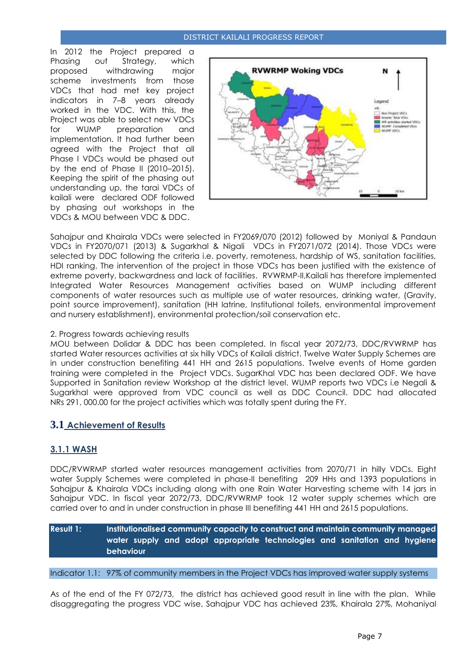In 2012 the Project prepared a Phasing out Strategy, which proposed withdrawing major scheme investments from those VDCs that had met key project indicators in 7–8 years already worked in the VDC. With this, the Project was able to select new VDCs for WUMP preparation and implementation. It had further been agreed with the Project that all Phase I VDCs would be phased out by the end of Phase II (2010–2015). Keeping the spirit of the phasing out understanding up, the tarai VDCs of kailali were declared ODF followed by phasing out workshops in the VDCs & MOU between VDC & DDC.



Sahajpur and Khairala VDCs were selected in FY2069/070 (2012) followed by Moniyal & Pandaun VDCs in FY2070/071 (2013) & Sugarkhal & Nigali VDCs in FY2071/072 (2014). Those VDCs were selected by DDC following the criteria i.e. poverty, remoteness, hardship of WS, sanitation facilities, HDI ranking. The intervention of the project in those VDCs has been justified with the existence of extreme poverty, backwardness and lack of facilities. RVWRMP-II,Kailali has therefore implemented Integrated Water Resources Management activities based on WUMP including different components of water resources such as multiple use of water resources, drinking water, (Gravity, point source improvement), sanitation (HH latrine, Institutional toilets, environmental improvement and nursery establishment), environmental protection/soil conservation etc.

#### <span id="page-6-0"></span>2. Progress towards achieving results

MOU between Dolidar & DDC has been completed. In fiscal year 2072/73, DDC/RVWRMP has started Water resources activities at six hilly VDCs of Kailali district. Twelve Water Supply Schemes are in under construction benefiting 441 HH and 2615 populations. Twelve events of Home garden training were completed in the Project VDCs. SugarKhal VDC has been declared ODF. We have Supported in Sanitation review Workshop at the district level. WUMP reports two VDCs i.e Negali & Sugarkhal were approved from VDC council as well as DDC Council. DDC had allocated NRs 291, 000.00 for the project activities which was totally spent during the FY.

## <span id="page-6-1"></span>**3.1 Achievement of Results**

## <span id="page-6-2"></span>**3.1.1 WASH**

DDC/RVWRMP started water resources management activities from 2070/71 in hilly VDCs. Eight water Supply Schemes were completed in phase-II benefiting 209 HHs and 1393 populations in Sahajpur & Khairala VDCs including along with one Rain Water Harvesting scheme with 14 jars in Sahajpur VDC. In fiscal year 2072/73, DDC/RVWRMP took 12 water supply schemes which are carried over to and in under construction in phase III benefiting 441 HH and 2615 populations.

**Result 1: Institutionalised community capacity to construct and maintain community managed water supply and adopt appropriate technologies and sanitation and hygiene behaviour** 

Indicator 1.1: 97% of community members in the Project VDCs has improved water supply systems

As of the end of the FY 072/73, the district has achieved good result in line with the plan. While disaggregating the progress VDC wise, Sahajpur VDC has achieved 23%, Khairala 27%, Mohaniyal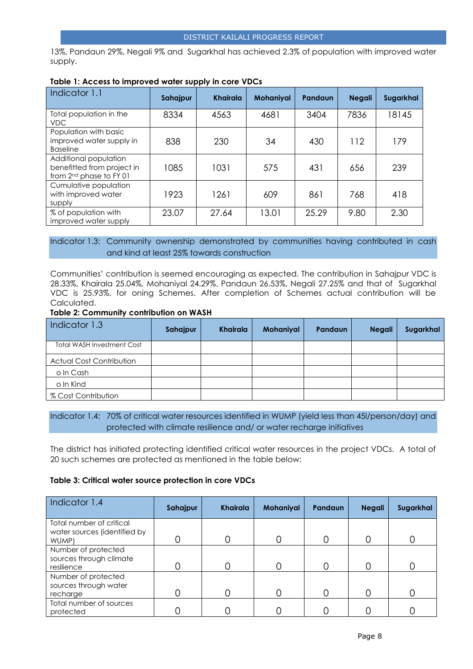13%, Pandaun 29%, Negali 9% and Sugarkhal has achieved 2.3% of population with improved water supply.

| Indicator 1.1                                                                              | Sahajpur | <b>Khairala</b> | <b>Mohaniyal</b> | Pandaun | <b>Negali</b> | Sugarkhal |
|--------------------------------------------------------------------------------------------|----------|-----------------|------------------|---------|---------------|-----------|
| Total population in the<br><b>VDC</b>                                                      | 8334     | 4563            | 4681             | 3404    | 7836          | 18145     |
| Population with basic<br>improved water supply in<br><b>Baseline</b>                       | 838      | 230             | 34               | 430     | 112           | 179       |
| Additional population<br>benefitted from project in<br>from 2 <sup>nd</sup> phase to FY 01 | 1085     | 1031            | 575              | 431     | 656           | 239       |
| Cumulative population<br>with improved water<br>supply                                     | 1923     | 1261            | 609              | 861     | 768           | 418       |
| % of population with<br>improved water supply                                              | 23.07    | 27.64           | 13.01            | 25.29   | 9.80          | 2.30      |

#### **Table 1: Access to improved water supply in core VDCs**

## Indicator 1.3: Community ownership demonstrated by communities having contributed in cash and kind at least 25% towards construction

Communities' contribution is seemed encouraging as expected. The contribution in Sahajpur VDC is 28.33%, Khairala 25.04%, Mohaniyal 24.29%, Pandaun 26.53%, Negali 27.25% and that of Sugarkhal VDC is 25.93%. for oning Schemes. After completion of Schemes actual contribution will be Calculated.

#### **Table 2: Community contribution on WASH**

| Indicator 1.3                     | Sahajpur | Khairala | <b>Mohaniyal</b> | <b>Pandaun</b> | <b>Negali</b> | Sugarkhal |
|-----------------------------------|----------|----------|------------------|----------------|---------------|-----------|
| <b>Total WASH Investment Cost</b> |          |          |                  |                |               |           |
| <b>Actual Cost Contribution</b>   |          |          |                  |                |               |           |
| o In Cash                         |          |          |                  |                |               |           |
| o In Kind                         |          |          |                  |                |               |           |
| % Cost Contribution               |          |          |                  |                |               |           |

## Indicator 1.4: 70% of critical water resources identified in WUMP (yield less than 45l/person/day) and protected with climate resilience and/ or water recharge initiatives

The district has initiated protecting identified critical water resources in the project VDCs. A total of 20 such schemes are protected as mentioned in the table below:

#### **Table 3: Critical water source protection in core VDCs**

| Indicator 1.4                                                     | Sahajpur | <b>Khairala</b> | Mohaniyal | Pandaun | <b>Negali</b> | Sugarkhal |
|-------------------------------------------------------------------|----------|-----------------|-----------|---------|---------------|-----------|
| Total number of critical<br>water sources (identified by<br>WUMP) |          | C               | 0         |         |               |           |
| Number of protected<br>sources through climate<br>resilience      |          |                 | Ω         |         |               |           |
| Number of protected<br>sources through water<br>recharge          |          |                 |           |         |               |           |
| Total number of sources<br>protected                              |          |                 |           |         |               |           |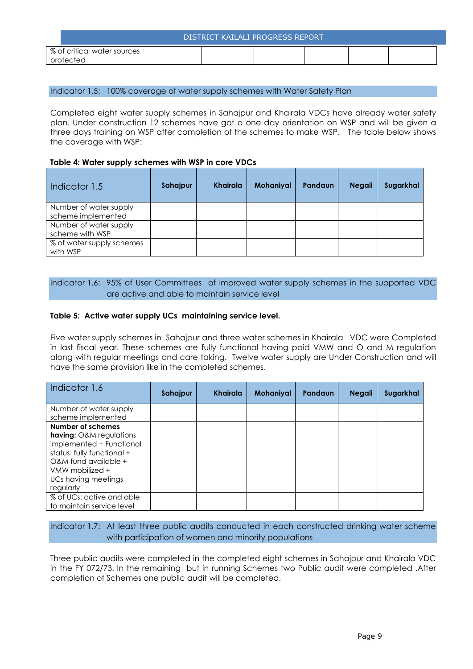| DISTRICT KAILALI PROGRESS REPORT         |  |  |  |  |  |  |
|------------------------------------------|--|--|--|--|--|--|
| % of critical water sources<br>protected |  |  |  |  |  |  |

#### Indicator 1.5: 100% coverage of water supply schemes with Water Safety Plan

Completed eight water supply schemes in Sahajpur and Khairala VDCs have already water safety plan. Under construction 12 schemes have got a one day orientation on WSP and will be given a three days training on WSP after completion of the schemes to make WSP. The table below shows the coverage with WSP:

#### **Table 4: Water supply schemes with WSP in core VDCs**

| Indicator 1.5                         | Sahajpur | Khairala | <b>Mohaniyal</b> | Pandaun | <b>Negali</b> | Sugarkhal |
|---------------------------------------|----------|----------|------------------|---------|---------------|-----------|
| Number of water supply                |          |          |                  |         |               |           |
| scheme implemented                    |          |          |                  |         |               |           |
| Number of water supply                |          |          |                  |         |               |           |
| scheme with WSP                       |          |          |                  |         |               |           |
| % of water supply schemes<br>with WSP |          |          |                  |         |               |           |

## Indicator 1.6: 95% of User Committees of improved water supply schemes in the supported VDC are active and able to maintain service level

#### **Table 5: Active water supply UCs maintaining service level.**

Five water supply schemes in Sahajpur and three water schemes in Khairala VDC were Completed in last fiscal year. These schemes are fully functional having paid VMW and O and M regulation along with regular meetings and care taking. Twelve water supply are Under Construction and will have the same provision like in the completed schemes.

| Indicator 1.6                                                                                                                                                                                | Sahajpur | Khairala | Mohaniyal | Pandaun | <b>Negali</b> | Sugarkhal |
|----------------------------------------------------------------------------------------------------------------------------------------------------------------------------------------------|----------|----------|-----------|---------|---------------|-----------|
| Number of water supply<br>scheme implemented                                                                                                                                                 |          |          |           |         |               |           |
| Number of schemes<br><b>having:</b> O&M regulations<br>implemented + Functional<br>status: fully functional +<br>O&M fund available +<br>VMW mobilized +<br>UCs having meetings<br>regularly |          |          |           |         |               |           |
| % of UCs: active and able<br>to maintain service level                                                                                                                                       |          |          |           |         |               |           |

## Indicator 1.7: At least three public audits conducted in each constructed drinking water scheme with participation of women and minority populations

Three public audits were completed in the completed eight schemes in Sahajpur and Khairala VDC in the FY 072/73. In the remaining but in running Schemes two Public audit were completed .After completion of Schemes one public audit will be completed.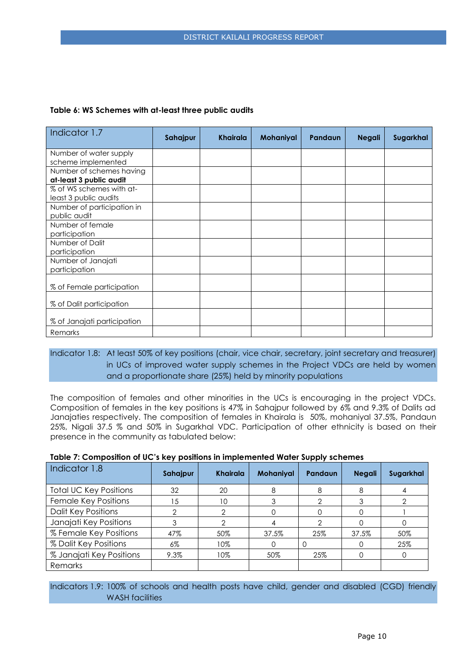| Indicator 1.7               | Sahajpur | <b>Khairala</b> | <b>Mohaniyal</b> | Pandaun | <b>Negali</b> | Sugarkhal |
|-----------------------------|----------|-----------------|------------------|---------|---------------|-----------|
| Number of water supply      |          |                 |                  |         |               |           |
| scheme implemented          |          |                 |                  |         |               |           |
| Number of schemes having    |          |                 |                  |         |               |           |
| at-least 3 public audit     |          |                 |                  |         |               |           |
| % of WS schemes with at-    |          |                 |                  |         |               |           |
| least 3 public audits       |          |                 |                  |         |               |           |
| Number of participation in  |          |                 |                  |         |               |           |
| public audit                |          |                 |                  |         |               |           |
| Number of female            |          |                 |                  |         |               |           |
| participation               |          |                 |                  |         |               |           |
| Number of Dalit             |          |                 |                  |         |               |           |
| participation               |          |                 |                  |         |               |           |
| Number of Janajati          |          |                 |                  |         |               |           |
| participation               |          |                 |                  |         |               |           |
| % of Female participation   |          |                 |                  |         |               |           |
| % of Dalit participation    |          |                 |                  |         |               |           |
| % of Janajati participation |          |                 |                  |         |               |           |
| Remarks                     |          |                 |                  |         |               |           |

## Indicator 1.8: At least 50% of key positions (chair, vice chair, secretary, joint secretary and treasurer) in UCs of improved water supply schemes in the Project VDCs are held by women and a proportionate share (25%) held by minority populations

The composition of females and other minorities in the UCs is encouraging in the project VDCs. Composition of females in the key positions is 47% in Sahajpur followed by 6% and 9.3% of Dalits ad Janajaties respectively. The composition of females in Khairala is 50%, mohaniyal 37.5%, Pandaun 25%, Nigali 37.5 % and 50% in Sugarkhal VDC. Participation of other ethnicity is based on their presence in the community as tabulated below:

|  |  | Table 7: Composition of UC's key positions in implemented Water Supply schemes |
|--|--|--------------------------------------------------------------------------------|
|--|--|--------------------------------------------------------------------------------|

| Indicator 1.8                 | Sahajpur | <b>Khairala</b> | <b>Mohaniyal</b> | Pandaun | <b>Negali</b> | Sugarkhal |
|-------------------------------|----------|-----------------|------------------|---------|---------------|-----------|
| <b>Total UC Key Positions</b> | 32       | 20              | 8                | 8       | 8             | 4         |
| Female Key Positions          | 15       | 10              | 3                | ◠       | 3             |           |
| <b>Dalit Key Positions</b>    |          | っ               |                  |         |               |           |
| Janajati Key Positions        |          |                 |                  |         |               |           |
| % Female Key Positions        | 47%      | 50%             | 37.5%            | 25%     | 37.5%         | 50%       |
| % Dalit Key Positions         | $6\%$    | 10%             | O                |         |               | 25%       |
| % Janajati Key Positions      | 9.3%     | 10%             | 50%              | 25%     |               |           |
| Remarks                       |          |                 |                  |         |               |           |

Indicators 1.9: 100% of schools and health posts have child, gender and disabled (CGD) friendly WASH facilities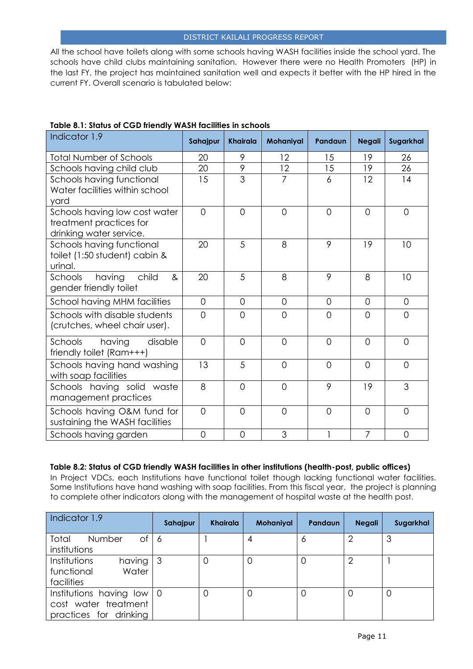All the school have toilets along with some schools having WASH facilities inside the school yard. The schools have child clubs maintaining sanitation. However there were no Health Promoters (HP) in the last FY, the project has maintained sanitation well and expects it better with the HP hired in the current FY. Overall scenario is tabulated below:

| Indicator 1.9                                                                       | Sahajpur       | <b>Khairala</b> | Mohaniyal      | Pandaun        | <b>Negali</b>  | Sugarkhal      |
|-------------------------------------------------------------------------------------|----------------|-----------------|----------------|----------------|----------------|----------------|
| <b>Total Number of Schools</b>                                                      | 20             | 9               | 12             | 15             | 19             | 26             |
| Schools having child club                                                           | 20             | $\overline{9}$  | 12             | 15             | 19             | 26             |
| Schools having functional<br>Water facilities within school<br>yard                 | 15             | 3               | $\overline{7}$ | 6              | 12             | 14             |
| Schools having low cost water<br>treatment practices for<br>drinking water service. | $\overline{0}$ | $\overline{0}$  | $\Omega$       | $\Omega$       | $\Omega$       | $\overline{0}$ |
| Schools having functional<br>toilet (1:50 student) cabin &<br>urinal.               | 20             | 5               | 8              | 9              | 19             | 10             |
| having<br>child<br>Schools<br>8 <sub>x</sub><br>gender friendly toilet              | 20             | 5               | 8              | 9              | 8              | 10             |
| School having MHM facilities                                                        | $\Omega$       | $\overline{0}$  | $\overline{0}$ | $\overline{0}$ | $\Omega$       | $\overline{0}$ |
| Schools with disable students<br>(crutches, wheel chair user).                      | $\Omega$       | $\overline{O}$  | $\overline{O}$ | $\Omega$       | $\Omega$       | $\overline{0}$ |
| having<br>disable<br>Schools<br>friendly toilet (Ram+++)                            | $\overline{0}$ | $\overline{O}$  | $\overline{0}$ | $\Omega$       | $\Omega$       | $\overline{0}$ |
| Schools having hand washing<br>with soap facilities                                 | 13             | 5               | $\Omega$       | $\Omega$       | $\Omega$       | $\Omega$       |
| Schools having solid waste<br>management practices                                  | 8              | $\overline{0}$  | $\overline{0}$ | 9              | 19             | 3              |
| Schools having O&M fund for<br>sustaining the WASH facilities                       | $\overline{O}$ | $\overline{0}$  | $\overline{0}$ | $\overline{0}$ | $\overline{0}$ | $\overline{0}$ |
| Schools having garden                                                               | $\overline{0}$ | $\overline{0}$  | 3              | $\mathbf{1}$   | $\overline{7}$ | $\overline{0}$ |

## **Table 8.1: Status of CGD friendly WASH facilities in schools**

#### **Table 8.2: Status of CGD friendly WASH facilities in other institutions (health-post, public offices)**

In Project VDCs, each Institutions have functional toilet though lacking functional water facilities. Some Institutions have hand washing with soap facilities. From this fiscal year, the project is planning to complete other indicators along with the management of hospital waste at the health post.

| Indicator 1.9                                                                               | Sahajpur | <b>Khairala</b> | <b>Mohaniyal</b> | <b>Pandaun</b> | <b>Negali</b> | Sugarkhal |
|---------------------------------------------------------------------------------------------|----------|-----------------|------------------|----------------|---------------|-----------|
| Total<br>Number<br>Оf<br>institutions                                                       | -6       |                 |                  | O              | っ             | 3         |
| Institutions<br>having<br>Water<br>functional<br>facilities                                 | 3        |                 | 0                |                | っ             |           |
| Institutions having low $\vert 0 \rangle$<br>cost water treatment<br>practices for drinking |          |                 |                  |                | 0             | 0         |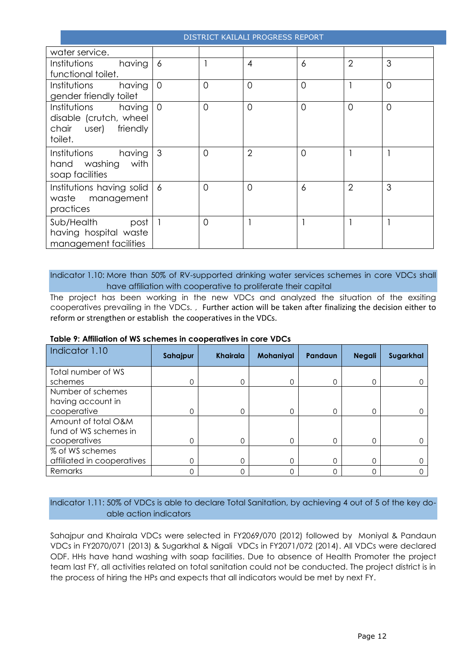| water service.            |                |          |                |                |                |                |
|---------------------------|----------------|----------|----------------|----------------|----------------|----------------|
| Institutions<br>having    | $\overline{6}$ |          | $\overline{4}$ | 6              | $\overline{2}$ | 3              |
| functional toilet.        |                |          |                |                |                |                |
| having<br>Institutions    | $\Omega$       | $\Omega$ | $\overline{0}$ | $\overline{O}$ |                | $\overline{0}$ |
| gender friendly toilet    |                |          |                |                |                |                |
| having<br>Institutions    | $\Omega$       | $\Omega$ | $\Omega$       | $\Omega$       | $\Omega$       | $\Omega$       |
| disable (crutch, wheel    |                |          |                |                |                |                |
| chair user) friendly      |                |          |                |                |                |                |
| toilet.                   |                |          |                |                |                |                |
| having<br>Institutions    | 3              | $\Omega$ | $\overline{2}$ | $\overline{0}$ |                |                |
| with<br>hand washing      |                |          |                |                |                |                |
| soap facilities           |                |          |                |                |                |                |
| Institutions having solid | 6              | $\Omega$ | $\overline{0}$ | 6              | $\overline{2}$ | 3              |
| waste management          |                |          |                |                |                |                |
| practices                 |                |          |                |                |                |                |
| Sub/Health<br>post        |                | $\Omega$ |                |                |                |                |
| having hospital waste     |                |          |                |                |                |                |
| management facilities     |                |          |                |                |                |                |

Indicator 1.10: More than 50% of RV-supported drinking water services schemes in core VDCs shall have affiliation with cooperative to proliferate their capital

The project has been working in the new VDCs and analyzed the situation of the exsiting cooperatives prevailing in the VDCs. , Further action will be taken after finalizing the decision either to reform or strengthen or establish the cooperatives in the VDCs.

| Indicator 1.10             | Sahajpur | <b>Khairala</b> | <b>Mohaniyal</b> | Pandaun | <b>Negali</b> | Sugarkhal |
|----------------------------|----------|-----------------|------------------|---------|---------------|-----------|
| Total number of WS         |          |                 |                  |         |               |           |
| schemes                    | 0        | 0               | 0                |         | 0             |           |
| Number of schemes          |          |                 |                  |         |               |           |
| having account in          |          |                 |                  |         |               |           |
| cooperative                | 0        | 0               | 0                |         | 0             |           |
| Amount of total O&M        |          |                 |                  |         |               |           |
| fund of WS schemes in      |          |                 |                  |         |               |           |
| cooperatives               | 0        | 0               | 0                | 0       | 0             |           |
| % of WS schemes            |          |                 |                  |         |               |           |
| affiliated in cooperatives | 0        | 0               | 0                |         | 0             |           |
| Remarks                    | 0        |                 | 0                |         | 0             |           |

#### **Table 9: Affiliation of WS schemes in cooperatives in core VDCs**

## Indicator 1.11: 50% of VDCs is able to declare Total Sanitation, by achieving 4 out of 5 of the key doable action indicators

Sahajpur and Khairala VDCs were selected in FY2069/070 (2012) followed by Moniyal & Pandaun VDCs in FY2070/071 (2013) & Sugarkhal & Nigali VDCs in FY2071/072 (2014). All VDCs were declared ODF. HHs have hand washing with soap facilities. Due to absence of Health Promoter the project team last FY, all activities related on total sanitation could not be conducted. The project district is in the process of hiring the HPs and expects that all indicators would be met by next FY.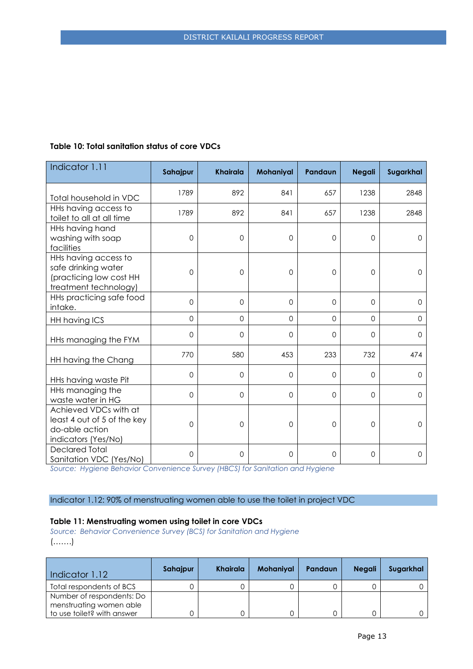| Indicator 1.11                                                                                  | Sahajpur       | <b>Khairala</b>     | Mohaniyal   | Pandaun      | <b>Negali</b>       | Sugarkhal           |
|-------------------------------------------------------------------------------------------------|----------------|---------------------|-------------|--------------|---------------------|---------------------|
| Total household in VDC                                                                          | 1789           | 892                 | 841         | 657          | 1238                | 2848                |
| HHs having access to<br>toilet to all at all time                                               | 1789           | 892                 | 841         | 657          | 1238                | 2848                |
| HHs having hand<br>washing with soap<br>facilities                                              | $\overline{0}$ | $\mathbf 0$         | $\mathbf 0$ | $\mathbf{O}$ | $\mathbf 0$         | $\Omega$            |
| HHs having access to<br>safe drinking water<br>(practicing low cost HH<br>treatment technology) | 0              | $\mathsf{O}\xspace$ | 0           | 0            | $\mathsf{O}\xspace$ | $\mathsf{O}\xspace$ |
| HHs practicing safe food<br>intake.                                                             | $\overline{0}$ | $\Omega$            | $\Omega$    | $\Omega$     | $\Omega$            | $\Omega$            |
| HH having ICS                                                                                   | $\mathbf 0$    | $\Omega$            | $\Omega$    | $\Omega$     | $\overline{0}$      | $\Omega$            |
| HHs managing the FYM                                                                            | $\overline{0}$ | $\mathbf 0$         | $\Omega$    | $\mathbf 0$  | $\Omega$            | $\Omega$            |
| HH having the Chang                                                                             | 770            | 580                 | 453         | 233          | 732                 | 474                 |
| HHs having waste Pit                                                                            | $\mathbf 0$    | $\mathbf 0$         | $\mathbf 0$ | $\Omega$     | $\Omega$            | $\mathbf 0$         |
| HHs managing the<br>waste water in HG                                                           | $\mathbf 0$    | $\mathbf 0$         | $\Omega$    | $\Omega$     | $\Omega$            | $\Omega$            |
| Achieved VDCs with at<br>least 4 out of 5 of the key<br>do-able action<br>indicators (Yes/No)   | 0              | 0                   | $\mathbf 0$ | 0            | $\mathbf 0$         | $\mathbf 0$         |
| <b>Declared Total</b><br>Sanitation VDC (Yes/No)                                                | 0              | $\mathbf 0$         | $\mathbf 0$ | 0            | $\mathbf 0$         | $\mathbf 0$         |

## **Table 10: Total sanitation status of core VDCs**

*Source: Hygiene Behavior Convenience Survey (HBCS) for Sanitation and Hygiene*

## Indicator 1.12: 90% of menstruating women able to use the toilet in project VDC

#### **Table 11: Menstruating women using toilet in core VDCs**

*Source: Behavior Convenience Survey (BCS) for Sanitation and Hygiene* (…….)

| Indicator 1.12                                       | Sahajpur | Khairala | <b>Mohaniyal</b> | Pandaun | <b>Neagli</b> | Sugarkhal |
|------------------------------------------------------|----------|----------|------------------|---------|---------------|-----------|
| Total respondents of BCS                             |          |          |                  |         |               |           |
| Number of respondents: Do<br>menstruating women able |          |          |                  |         |               |           |
| to use toilet? with answer                           |          |          |                  |         |               |           |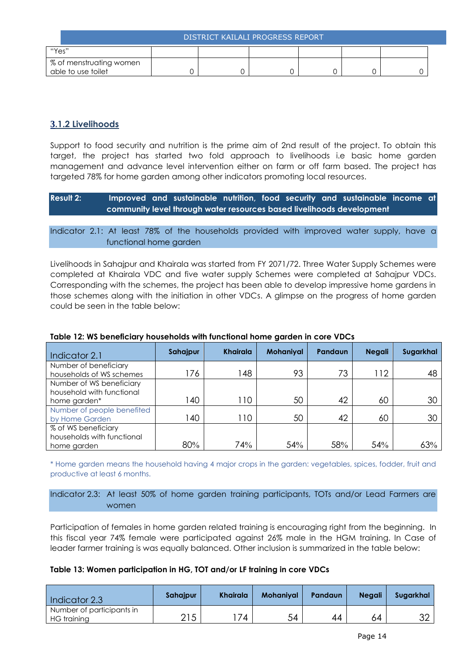| DISTRICT KAILALI PROGRESS REPORT |  |  |  |  |  |  |  |
|----------------------------------|--|--|--|--|--|--|--|
| "Yes"                            |  |  |  |  |  |  |  |
| % of menstruating women          |  |  |  |  |  |  |  |
| able to use toilet               |  |  |  |  |  |  |  |

## <span id="page-13-0"></span>**3.1.2 Livelihoods**

Support to food security and nutrition is the prime aim of 2nd result of the project. To obtain this target, the project has started two fold approach to livelihoods i.e basic home garden management and advance level intervention either on farm or off farm based. The project has targeted 78% for home garden among other indicators promoting local resources.

**Result 2: Improved and sustainable nutrition, food security and sustainable income at community level through water resources based livelihoods development**

Indicator 2.1: At least 78% of the households provided with improved water supply, have a functional home garden

Livelihoods in Sahajpur and Khairala was started from FY 2071/72. Three Water Supply Schemes were completed at Khairala VDC and five water supply Schemes were completed at Sahajpur VDCs. Corresponding with the schemes, the project has been able to develop impressive home gardens in those schemes along with the initiation in other VDCs. A glimpse on the progress of home garden could be seen in the table below:

| Indicator 2.1                                                         | Sahajpur | <b>Khairala</b> | <b>Mohaniyal</b> | Pandaun | <b>Negali</b> | Sugarkhal |
|-----------------------------------------------------------------------|----------|-----------------|------------------|---------|---------------|-----------|
| Number of beneficiary<br>households of WS schemes                     | 176      | 48              | 93               | 73      | 112           | 48        |
| Number of WS beneficiary<br>household with functional<br>home garden* | 40       | 10              | 50               | 42      | 60            | 30        |
| Number of people benefited<br>by Home Garden                          | 40       | $\overline{10}$ | 50               | 42      | 60            | 30        |
| % of WS beneficiary<br>households with functional<br>home garden      | 80%      | 74%             | 54%              | 58%     | 54%           | 63%       |

## **Table 12: WS beneficiary households with functional home garden in core VDCs**

\* Home garden means the household having 4 major crops in the garden: vegetables, spices, fodder, fruit and productive at least 6 months.

## Indicator 2.3: At least 50% of home garden training participants, TOTs and/or Lead Farmers are women

Participation of females in home garden related training is encouraging right from the beginning. In this fiscal year 74% female were participated against 26% male in the HGM training. In Case of leader farmer training is was equally balanced. Other inclusion is summarized in the table below:

#### **Table 13: Women participation in HG, TOT and/or LF training in core VDCs**

| Indicator 2.3                            | Sahajpur | <b>Khairala</b> | <b>Mohanival</b> | Pandaun | <b>Negali</b> | Suaarkhal |
|------------------------------------------|----------|-----------------|------------------|---------|---------------|-----------|
| Number of participants in<br>HG training | 215      | 74              | 54               | 44      | 64            | ∩ר<br>ےں  |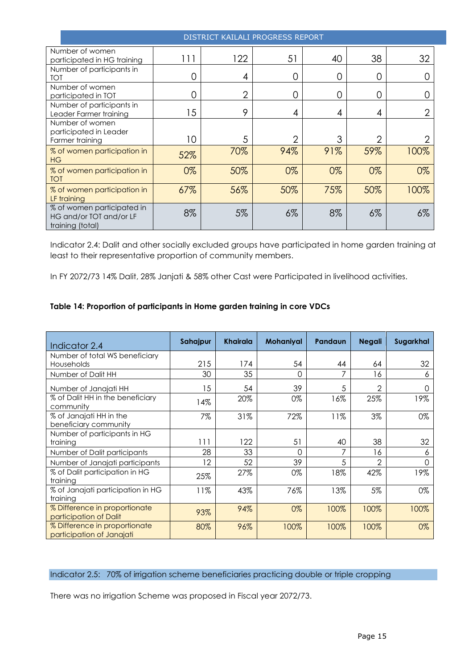| DISTRICT KAILALI PROGRESS REPORT                                          |     |                |               |     |                |       |  |
|---------------------------------------------------------------------------|-----|----------------|---------------|-----|----------------|-------|--|
| Number of women<br>participated in HG training                            | 111 | 122            | 51            | 40  | 38             | 32    |  |
| Number of participants in<br><b>TOT</b>                                   | 0   | 4              | 0             | 0   | 0              |       |  |
| Number of women<br>participated in TOT                                    | 0   | $\overline{2}$ | 0             | 0   | 0              |       |  |
| Number of participants in<br>Leader Farmer training                       | 15  | 9              | 4             | 4   | 4              |       |  |
| Number of women<br>participated in Leader<br>Farmer training              | 10  | 5              | $\mathcal{P}$ | 3   | $\overline{2}$ |       |  |
| % of women participation in<br><b>HG</b>                                  | 52% | 70%            | 94%           | 91% | 59%            | 100%  |  |
| % of women participation in<br><b>TOT</b>                                 | 0%  | 50%            | 0%            | 0%  | 0%             | 0%    |  |
| % of women participation in<br>LF training                                | 67% | 56%            | 50%           | 75% | 50%            | 100%  |  |
| % of women participated in<br>HG and/or TOT and/or LF<br>training (total) | 8%  | 5%             | $6\%$         | 8%  | $6\%$          | $6\%$ |  |

Indicator 2.4: Dalit and other socially excluded groups have participated in home garden training at least to their representative proportion of community members.

In FY 2072/73 14% Dalit, 28% Janjati & 58% other Cast were Participated in livelihood activities.

## **Table 14: Proportion of participants in Home garden training in core VDCs**

| Indicator 2.4                                              | Sahajpur | <b>Khairala</b> | Mohaniyal | Pandaun | <b>Negali</b>  | Sugarkhal |
|------------------------------------------------------------|----------|-----------------|-----------|---------|----------------|-----------|
| Number of total WS beneficiary<br>Households               | 215      | 174             | 54        | 44      | 64             | 32        |
| Number of Dalit HH                                         | 30       | 35              | $\Omega$  |         | 16             | 6         |
| Number of Janajati HH                                      | 15       | 54              | 39        | 5       | $\mathfrak{D}$ | 0         |
| % of Dalit HH in the beneficiary<br>community              | 14%      | 20%             | 0%        | 16%     | 25%            | 19%       |
| % of Janajati HH in the<br>beneficiary community           | 7%       | 31%             | 72%       | 11%     | 3%             | 0%        |
| Number of participants in HG<br>training                   | 111      | 122             | 51        | 40      | 38             | 32        |
| Number of Dalit participants                               | 28       | 33              | ∩         |         | 16             | 6         |
| Number of Janajati participants                            | 12       | 52              | 39        | 5       | $\mathcal{P}$  | Ω         |
| % of Dalit participation in HG<br>training                 | 25%      | 27%             | 0%        | 18%     | 42%            | 19%       |
| % of Janajati participation in HG<br>training              | 11%      | 43%             | 76%       | 13%     | 5%             | 0%        |
| % Difference in proportionate<br>participation of Dalit    | 93%      | 94%             | 0%        | 100%    | 100%           | 100%      |
| % Difference in proportionate<br>participation of Janajati | 80%      | 96%             | 100%      | 100%    | 100%           | 0%        |

## Indicator 2.5: 70% of irrigation scheme beneficiaries practicing double or triple cropping

There was no irrigation Scheme was proposed in Fiscal year 2072/73.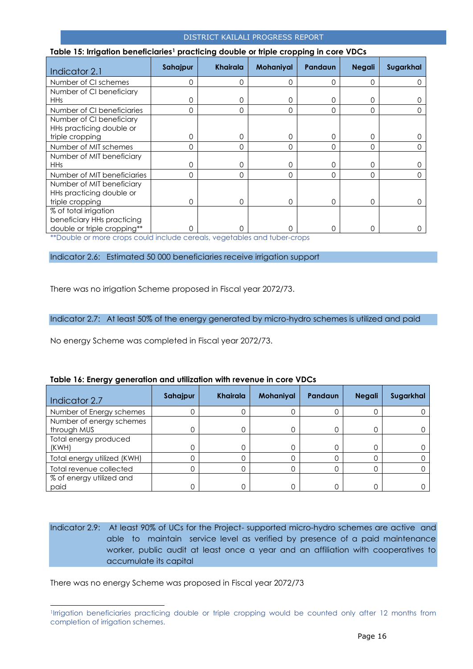| Indicator 2.1               | Sahajpur | <b>Khairala</b> | Mohaniyal | Pandaun  | <b>Negali</b> | Sugarkhal |
|-----------------------------|----------|-----------------|-----------|----------|---------------|-----------|
| Number of CI schemes        | 0        | 0               | 0         | $\Omega$ | 0             |           |
| Number of CI beneficiary    |          |                 |           |          |               |           |
| <b>HHs</b>                  | 0        | 0               | 0         | 0        | 0             |           |
| Number of CI beneficiaries  | 0        | $\Omega$        | 0         | $\Omega$ | 0             |           |
| Number of CI beneficiary    |          |                 |           |          |               |           |
| HHs practicing double or    |          |                 |           |          |               |           |
| triple cropping             | 0        | $\Omega$        | 0         | $\Omega$ | 0             |           |
| Number of MIT schemes       | 0        | $\Omega$        | $\Omega$  | $\Omega$ | $\Omega$      |           |
| Number of MIT beneficiary   |          |                 |           |          |               |           |
| <b>HHs</b>                  | 0        | 0               | 0         | 0        | 0             |           |
| Number of MIT beneficiaries | 0        | $\Omega$        | $\Omega$  | $\Omega$ | $\Omega$      |           |
| Number of MIT beneficiary   |          |                 |           |          |               |           |
| HHs practicing double or    |          |                 |           |          |               |           |
| triple cropping             | 0        | 0               | 0         | $\Omega$ | 0             |           |
| % of total irrigation       |          |                 |           |          |               |           |
| beneficiary HHs practicing  |          |                 |           |          |               |           |
| double or triple cropping** | 0        | ∩               | 0         | $\Omega$ | 0             |           |

#### **Table 15: Irrigation beneficiaries<sup>1</sup> practicing double or triple cropping in core VDCs**

\*\*Double or more crops could include cereals, vegetables and tuber-crops

Indicator 2.6: Estimated 50 000 beneficiaries receive irrigation support

There was no irrigation Scheme proposed in Fiscal year 2072/73.

Indicator 2.7: At least 50% of the energy generated by micro-hydro schemes is utilized and paid

No energy Scheme was completed in Fiscal year 2072/73.

| Indicator 2.7                           | Sahajpur | <b>Khairala</b> | <b>Mohaniyal</b> | Pandaun | <b>Negali</b> | Sugarkhal |
|-----------------------------------------|----------|-----------------|------------------|---------|---------------|-----------|
| Number of Energy schemes                |          |                 |                  |         |               |           |
| Number of energy schemes<br>through MUS |          |                 | 0                |         | 0             |           |
| Total energy produced<br>(KWH)          |          |                 | 0                |         |               |           |
| Total energy utilized (KWH)             |          |                 |                  |         |               |           |
| Total revenue collected                 |          |                 |                  |         |               |           |
| % of energy utilized and<br>paid        |          |                 |                  |         |               |           |

#### **Table 16: Energy generation and utilization with revenue in core VDCs**

Indicator 2.9: At least 90% of UCs for the Project- supported micro-hydro schemes are active and able to maintain service level as verified by presence of a paid maintenance worker, public audit at least once a year and an affiliation with cooperatives to accumulate its capital

There was no energy Scheme was proposed in Fiscal year 2072/73

-

<sup>1</sup> Irrigation beneficiaries practicing double or triple cropping would be counted only after 12 months from completion of irrigation schemes.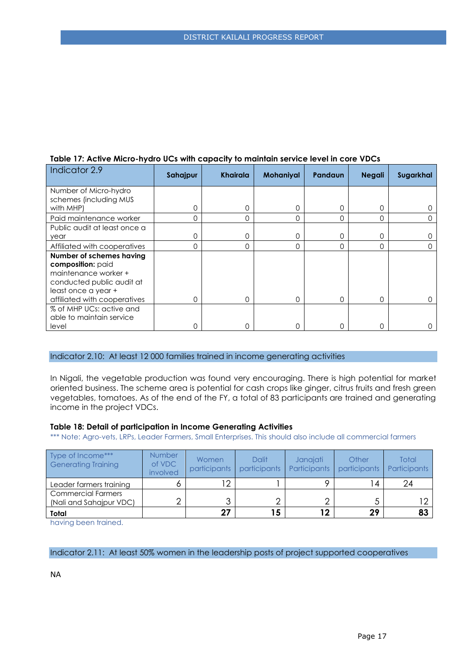| Indicator 2.9                | Sahajpur | Khairala | <b>Mohaniyal</b> | Pandaun  | <b>Negali</b> | Sugarkhal |
|------------------------------|----------|----------|------------------|----------|---------------|-----------|
| Number of Micro-hydro        |          |          |                  |          |               |           |
| schemes (including MUS       |          |          |                  |          |               |           |
| with MHP)                    | 0        | 0        | 0                | 0        | 0             |           |
| Paid maintenance worker      | 0        | 0        | 0                | O        | 0             |           |
| Public audit at least once a |          |          |                  |          |               |           |
| year                         | 0        | 0        | 0                | O        | 0             |           |
| Affiliated with cooperatives | 0        | 0        | 0                | 0        | 0             |           |
| Number of schemes having     |          |          |                  |          |               |           |
| composition: paid            |          |          |                  |          |               |           |
| maintenance worker +         |          |          |                  |          |               |           |
| conducted public audit at    |          |          |                  |          |               |           |
| least once a year +          |          |          |                  |          |               |           |
| affiliated with cooperatives | $\Omega$ | 0        | 0                | $\Omega$ | 0             |           |
| % of MHP UCs: active and     |          |          |                  |          |               |           |
| able to maintain service     |          |          |                  |          |               |           |
| level                        | 0        | 0        | 0                | Λ        | 0             |           |

## **Table 17: Active Micro-hydro UCs with capacity to maintain service level in core VDCs**

#### Indicator 2.10: At least 12 000 families trained in income generating activities

In Nigali, the vegetable production was found very encouraging. There is high potential for market oriented business. The scheme area is potential for cash crops like ginger, citrus fruits and fresh green vegetables, tomatoes. As of the end of the FY, a total of 83 participants are trained and generating income in the project VDCs.

#### **Table 18: Detail of participation in Income Generating Activities**

\*\*\* Note: Agro-vets, LRPs, Leader Farmers, Small Enterprises. This should also include all commercial farmers

| Type of Income***<br><b>Generating Training</b>      | <b>Number</b><br>of VDC<br>involved | Women<br>participants | <b>Dalit</b><br>participants | Janajati<br>Participants | Other<br>participants | Total<br>Participants |
|------------------------------------------------------|-------------------------------------|-----------------------|------------------------------|--------------------------|-----------------------|-----------------------|
| Leader farmers training                              |                                     |                       |                              |                          | 4                     | 24                    |
| <b>Commercial Farmers</b><br>(Nali and Sahajpur VDC) |                                     |                       |                              |                          |                       | ⌒                     |
| Total                                                |                                     | 27                    | 15                           | 12                       | 29                    | 83                    |

having been trained.

Indicator 2.11: At least 50% women in the leadership posts of project supported cooperatives

NA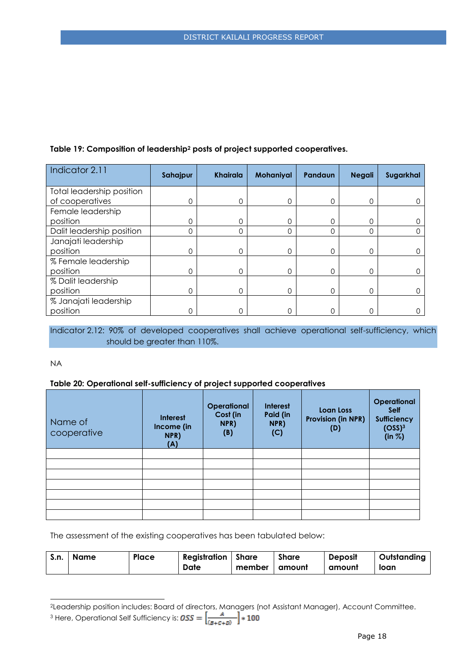## **Table 19: Composition of leadership<sup>2</sup> posts of project supported cooperatives.**

| Indicator 2.11            | Sahajpur | <b>Khairala</b> | Mohaniyal | <b>Pandaun</b> | <b>Negali</b> | Sugarkhal |
|---------------------------|----------|-----------------|-----------|----------------|---------------|-----------|
| Total leadership position |          |                 |           |                |               |           |
| of cooperatives           | 0        | 0               | $\Omega$  | $\Omega$       | $\Omega$      |           |
| Female leadership         |          |                 |           |                |               |           |
| position                  | 0        | 0               | 0         | $\Omega$       | $\mathbf 0$   |           |
| Dalit leadership position | 0        | $\Omega$        | 0         | $\Omega$       | 0             |           |
| Janajati leadership       |          |                 |           |                |               |           |
| position                  | 0        | 0               | 0         | 0              | 0             |           |
| % Female leadership       |          |                 |           |                |               |           |
| position                  | 0        | 0               | $\Omega$  | $\Omega$       | $\Omega$      |           |
| % Dalit leadership        |          |                 |           |                |               |           |
| position                  | 0        | 0               | $\Omega$  | $\Omega$       | $\Omega$      |           |
| % Janajati leadership     |          |                 |           |                |               |           |
| position                  | 0        | 0               | ∩         | ∩              | 0             |           |

## Indicator 2.12: 90% of developed cooperatives shall achieve operational self-sufficiency, which should be greater than 110%.

NA

-

## **Table 20: Operational self-sufficiency of project supported cooperatives**

| Name of<br>cooperative | <b>Interest</b><br>Income (in<br>NPR)<br>(A) | <b>Operational</b><br>Cost (in<br>NPR)<br>(B) | <b>Interest</b><br>Paid (in<br>NPR)<br>(C) | <b>Loan Loss</b><br><b>Provision (in NPR)</b><br>(D) | <b>Operational</b><br><b>Self</b><br><b>Sufficiency</b><br>(OSS) <sup>3</sup><br>(in  %) |
|------------------------|----------------------------------------------|-----------------------------------------------|--------------------------------------------|------------------------------------------------------|------------------------------------------------------------------------------------------|
|                        |                                              |                                               |                                            |                                                      |                                                                                          |
|                        |                                              |                                               |                                            |                                                      |                                                                                          |
|                        |                                              |                                               |                                            |                                                      |                                                                                          |
|                        |                                              |                                               |                                            |                                                      |                                                                                          |
|                        |                                              |                                               |                                            |                                                      |                                                                                          |
|                        |                                              |                                               |                                            |                                                      |                                                                                          |
|                        |                                              |                                               |                                            |                                                      |                                                                                          |

The assessment of the existing cooperatives has been tabulated below:

| S.n. | Name | Place | <b>Registration</b> Share |        | <b>Share</b> | <b>Deposit</b> | Outstanding |
|------|------|-------|---------------------------|--------|--------------|----------------|-------------|
|      |      |       | Date                      | member | amount       | amount         | loan        |

<sup>2</sup>Leadership position includes: Board of directors, Managers (not Assistant Manager), Account Committee.

<sup>3</sup> Here, Operational Self Sufficiency is: 
$$
0SS = \left[\frac{n}{(B+C+D)}\right] * 100
$$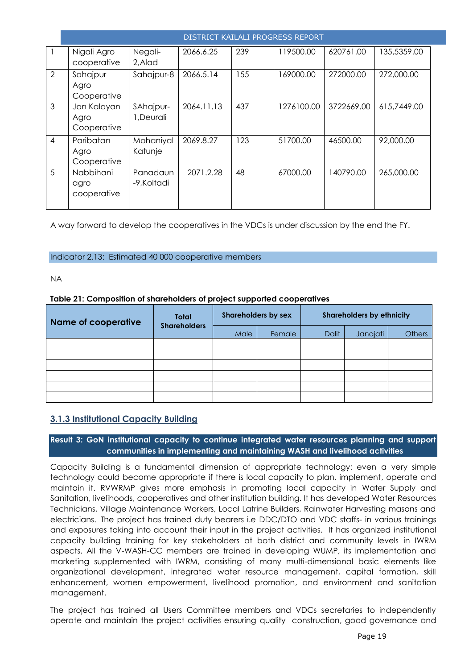|                | <b>DISTRICT KAILALI PROGRESS REPORT</b> |                         |            |     |            |            |             |  |  |
|----------------|-----------------------------------------|-------------------------|------------|-----|------------|------------|-------------|--|--|
|                | Nigali Agro<br>cooperative              | Negali-<br>2, Alad      | 2066.6.25  | 239 | 119500.00  | 620761.00  | 135,5359.00 |  |  |
| 2              | Sahajpur<br>Agro<br>Cooperative         | Sahajpur-8              | 2066.5.14  | 155 | 169000.00  | 272000.00  | 272,000.00  |  |  |
| 3              | Jan Kalayan<br>Agro<br>Cooperative      | SAhajpur-<br>1, Deurali | 2064.11.13 | 437 | 1276100.00 | 3722669.00 | 615,7449.00 |  |  |
| $\overline{4}$ | Paribatan<br>Agro<br>Cooperative        | Mohaniyal<br>Katunje    | 2069.8.27  | 123 | 51700.00   | 46500.00   | 92,000.00   |  |  |
| 5              | Nabbihani<br>agro<br>cooperative        | Panadaun<br>-9.Koltadi  | 2071.2.28  | 48  | 67000.00   | 140790.00  | 265,000.00  |  |  |

A way forward to develop the cooperatives in the VDCs is under discussion by the end the FY.

## Indicator 2.13: Estimated 40 000 cooperative members

NA

## **Table 21: Composition of shareholders of project supported cooperatives**

| <b>Name of cooperative</b> | Total<br><b>Shareholders</b> | <b>Shareholders by sex</b> |        | <b>Shareholders by ethnicity</b> |          |               |  |
|----------------------------|------------------------------|----------------------------|--------|----------------------------------|----------|---------------|--|
|                            |                              | Male                       | Female | <b>Dalit</b>                     | Janajati | <b>Others</b> |  |
|                            |                              |                            |        |                                  |          |               |  |
|                            |                              |                            |        |                                  |          |               |  |
|                            |                              |                            |        |                                  |          |               |  |
|                            |                              |                            |        |                                  |          |               |  |
|                            |                              |                            |        |                                  |          |               |  |
|                            |                              |                            |        |                                  |          |               |  |

## <span id="page-18-0"></span>**3.1.3 Institutional Capacity Building**

## **Result 3: GoN institutional capacity to continue integrated water resources planning and support communities in implementing and maintaining WASH and livelihood activities**

Capacity Building is a fundamental dimension of appropriate technology: even a very simple technology could become appropriate if there is local capacity to plan, implement, operate and maintain it. RVWRMP gives more emphasis in promoting local capacity in Water Supply and Sanitation, livelihoods, cooperatives and other institution building. It has developed Water Resources Technicians, Village Maintenance Workers, Local Latrine Builders, Rainwater Harvesting masons and electricians. The project has trained duty bearers i.e DDC/DTO and VDC staffs- in various trainings and exposures taking into account their input in the project activities. It has organized institutional capacity building training for key stakeholders at both district and community levels in IWRM aspects. All the V-WASH-CC members are trained in developing WUMP, its implementation and marketing supplemented with IWRM, consisting of many multi-dimensional basic elements like organizational development, integrated water resource management, capital formation, skill enhancement, women empowerment, livelihood promotion, and environment and sanitation management.

The project has trained all Users Committee members and VDCs secretaries to independently operate and maintain the project activities ensuring quality construction, good governance and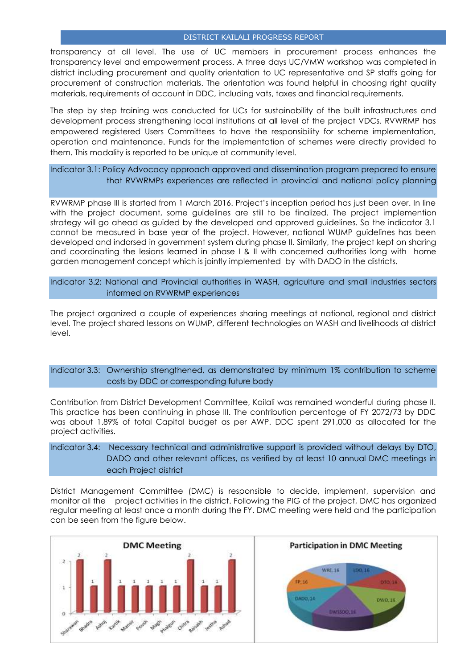transparency at all level. The use of UC members in procurement process enhances the transparency level and empowerment process. A three days UC/VMW workshop was completed in district including procurement and quality orientation to UC representative and SP staffs going for procurement of construction materials. The orientation was found helpful in choosing right quality materials, requirements of account in DDC, including vats, taxes and financial requirements.

The step by step training was conducted for UCs for sustainability of the built infrastructures and development process strengthening local institutions at all level of the project VDCs. RVWRMP has empowered registered Users Committees to have the responsibility for scheme implementation, operation and maintenance. Funds for the implementation of schemes were directly provided to them. This modality is reported to be unique at community level.

Indicator 3.1: Policy Advocacy approach approved and dissemination program prepared to ensure that RVWRMPs experiences are reflected in provincial and national policy planning

RVWRMP phase III is started from 1 March 2016. Project's inception period has just been over. In line with the project document, some guidelines are still to be finalized. The project implemention strategy will go ahead as guided by the developed and approved guidelines. So the indicator 3.1 cannot be measured in base year of the project. However, national WUMP guidelines has been developed and indorsed in government system during phase II. Similarly, the project kept on sharing and coordinating the lesions learned in phase I & II with concerned authorities long with home garden management concept which is jointly implemented by with DADO in the districts.

Indicator 3.2: National and Provincial authorities in WASH, agriculture and small industries sectors informed on RVWRMP experiences

The project organized a couple of experiences sharing meetings at national, regional and district level. The project shared lessons on WUMP, different technologies on WASH and livelihoods at district level.

## Indicator 3.3: Ownership strengthened, as demonstrated by minimum 1% contribution to scheme costs by DDC or corresponding future body

Contribution from District Development Committee, Kailali was remained wonderful during phase II. This practice has been continuing in phase III. The contribution percentage of FY 2072/73 by DDC was about 1.89% of total Capital budget as per AWP. DDC spent 291,000 as allocated for the project activities.

Indicator 3.4: Necessary technical and administrative support is provided without delays by DTO, DADO and other relevant offices, as verified by at least 10 annual DMC meetings in each Project district

District Management Committee (DMC) is responsible to decide, implement, supervision and monitor all the project activities in the district. Following the PIG of the project, DMC has organized regular meeting at least once a month during the FY. DMC meeting were held and the participation can be seen from the figure below.

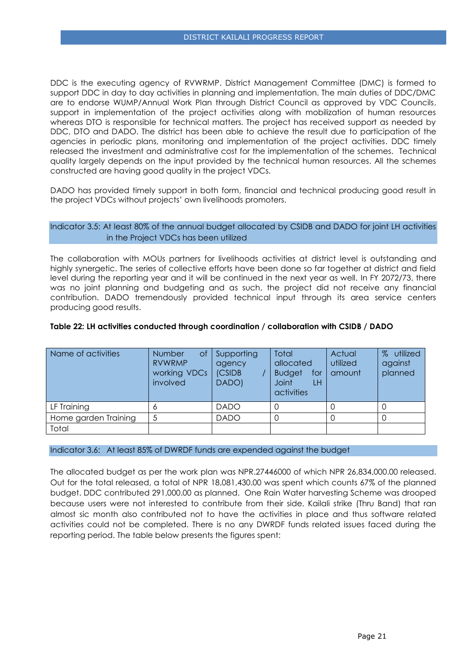DDC is the executing agency of RVWRMP. District Management Committee (DMC) is formed to support DDC in day to day activities in planning and implementation. The main duties of DDC/DMC are to endorse WUMP/Annual Work Plan through District Council as approved by VDC Councils, support in implementation of the project activities along with mobilization of human resources whereas DTO is responsible for technical matters. The project has received support as needed by DDC, DTO and DADO. The district has been able to achieve the result due to participation of the agencies in periodic plans, monitoring and implementation of the project activities. DDC timely released the investment and administrative cost for the implementation of the schemes. Technical quality largely depends on the input provided by the technical human resources. All the schemes constructed are having good quality in the project VDCs.

DADO has provided timely support in both form, financial and technical producing good result in the project VDCs without projects' own livelihoods promoters.

#### Indicator 3.5: At least 80% of the annual budget allocated by CSIDB and DADO for joint LH activities in the Project VDCs has been utilized

The collaboration with MOUs partners for livelihoods activities at district level is outstanding and highly synergetic. The series of collective efforts have been done so far together at district and field level during the reporting year and it will be continued in the next year as well. In FY 2072/73, there was no joint planning and budgeting and as such, the project did not receive any financial contribution. DADO tremendously provided technical input through its area service centers producing good results.

| Name of activities   | Number<br>Οf<br><b>RVWRMP</b><br>working VDCs<br>involved | Supporting<br>agency<br>(CSIDB<br>DADO) | Total<br>allocated<br><b>Budget</b><br>for<br><b>Joint</b><br>LH<br>activities | Actual<br>utilized<br>amount | utilized<br>$\%$<br>against<br>planned |
|----------------------|-----------------------------------------------------------|-----------------------------------------|--------------------------------------------------------------------------------|------------------------------|----------------------------------------|
| LF Training          | O                                                         | <b>DADO</b>                             |                                                                                |                              |                                        |
| Home garden Training |                                                           | <b>DADO</b>                             |                                                                                |                              |                                        |
| Total                |                                                           |                                         |                                                                                |                              |                                        |

#### **Table 22: LH activities conducted through coordination / collaboration with CSIDB / DADO**

#### Indicator 3.6: At least 85% of DWRDF funds are expended against the budget

The allocated budget as per the work plan was NPR.27446000 of which NPR 26,834,000.00 released. Out for the total released, a total of NPR 18,081,430.00 was spent which counts 67% of the planned budget. DDC contributed 291,000.00 as planned. One Rain Water harvesting Scheme was drooped because users were not interested to contribute from their side. Kailali strike (Thru Band) that ran almost sic month also contributed not to have the activities in place and thus software related activities could not be completed. There is no any DWRDF funds related issues faced during the reporting period. The table below presents the figures spent: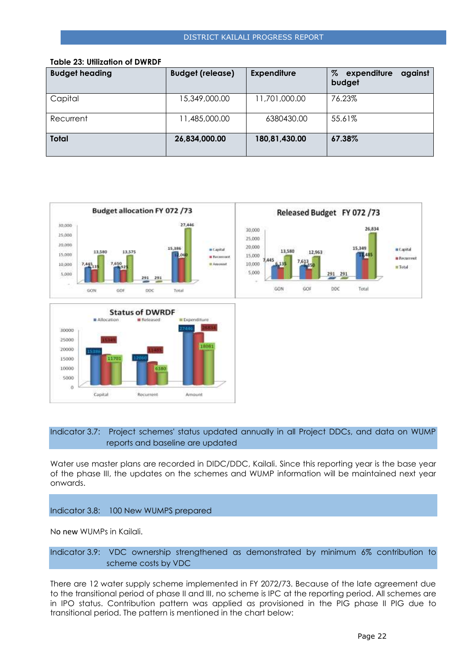| <b>Budget heading</b> | <b>Budget (release)</b> | <b>Expenditure</b> | %<br>expenditure<br>against<br>budget |
|-----------------------|-------------------------|--------------------|---------------------------------------|
| Capital               | 15,349,000.00           | 11,701,000.00      | 76.23%                                |
| Recurrent             | 11,485,000.00           | 6380430.00         | 55.61%                                |
| <b>Total</b>          | 26,834,000.00           | 180,81,430.00      | 67.38%                                |

#### **Table 23: Utilization of DWRDF**





## Indicator 3.7: Project schemes' status updated annually in all Project DDCs, and data on WUMP reports and baseline are updated

Water use master plans are recorded in DIDC/DDC, Kailali. Since this reporting year is the base year of the phase III, the updates on the schemes and WUMP information will be maintained next year onwards.

#### Indicator 3.8: 100 New WUMPS prepared

No new WUMPs in Kailali.

Indicator 3.9: VDC ownership strengthened as demonstrated by minimum 6% contribution to scheme costs by VDC

There are 12 water supply scheme implemented in FY 2072/73. Because of the late agreement due to the transitional period of phase II and III, no scheme is IPC at the reporting period. All schemes are in IPO status. Contribution pattern was applied as provisioned in the PIG phase II PIG due to transitional period. The pattern is mentioned in the chart below: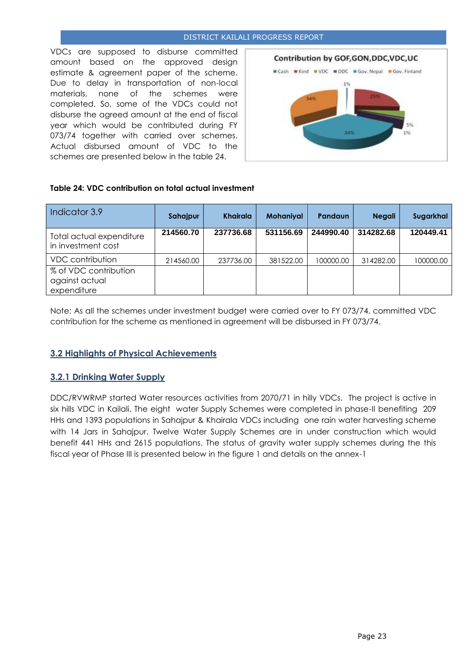VDCs are supposed to disburse committed amount based on the approved design estimate & agreement paper of the scheme. Due to delay in transportation of non-local materials, none of the schemes were completed. So, some of the VDCs could not disburse the agreed amount at the end of fiscal year which would be contributed during FY 073/74 together with carried over schemes. Actual disbursed amount of VDC to the schemes are presented below in the table 24.



## **Table 24: VDC contribution on total actual investment**

| Indicator 3.9                                          | Sahajpur  | <b>Khairala</b> | <b>Mohaniyal</b> | <b>Pandaun</b> | <b>Negali</b> | Sugarkhal |
|--------------------------------------------------------|-----------|-----------------|------------------|----------------|---------------|-----------|
| Total actual expenditure<br>in investment cost         | 214560.70 | 237736.68       | 531156.69        | 244990.40      | 314282.68     | 120449.41 |
| VDC contribution                                       | 214560.00 | 237736.00       | 381522.00        | 100000.00      | 314282.00     | 100000.00 |
| % of VDC contribution<br>against actual<br>expenditure |           |                 |                  |                |               |           |

Note: As all the schemes under investment budget were carried over to FY 073/74, committed VDC contribution for the scheme as mentioned in agreement will be disbursed in FY 073/74.

## <span id="page-22-0"></span>**3.2 Highlights of Physical Achievements**

## <span id="page-22-1"></span>**3.2.1 Drinking Water Supply**

DDC/RVWRMP started Water resources activities from 2070/71 in hilly VDCs. The project is active in six hills VDC in Kailali. The eight water Supply Schemes were completed in phase-II benefiting 209 HHs and 1393 populations in Sahajpur & Khairala VDCs including one rain water harvesting scheme with 14 Jars in Sahajpur. Twelve Water Supply Schemes are in under construction which would benefit 441 HHs and 2615 populations. The status of gravity water supply schemes during the this fiscal year of Phase III is presented below in the figure 1 and details on the annex-1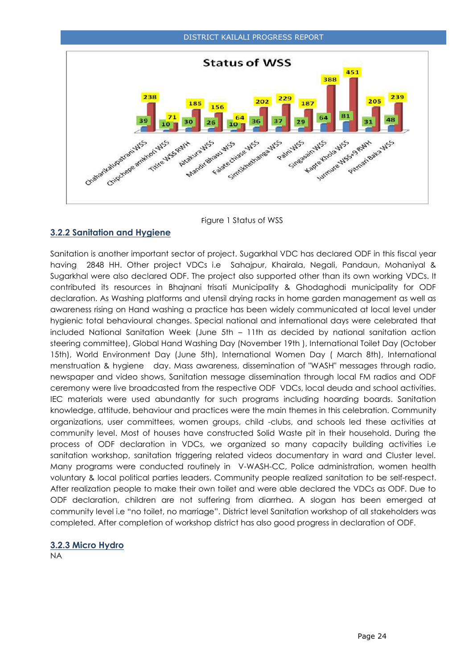

Figure 1 Status of WSS

## <span id="page-23-0"></span>**3.2.2 Sanitation and Hygiene**

Sanitation is another important sector of project. Sugarkhal VDC has declared ODF in this fiscal year having 2848 HH. Other project VDCs i.e Sahajpur, Khairala, Negali, Pandaun, Mohaniyal & Sugarkhal were also declared ODF. The project also supported other than its own working VDCs. It contributed its resources in Bhajnani trisati Municipality & Ghodaghodi municipality for ODF declaration. As Washing platforms and utensil drying racks in home garden management as well as awareness rising on Hand washing a practice has been widely communicated at local level under hygienic total behavioural changes. Special national and international days were celebrated that included National Sanitation Week (June 5th – 11th as decided by national sanitation action steering committee), Global Hand Washing Day (November 19th ), International Toilet Day (October 15th), World Environment Day (June 5th), International Women Day ( March 8th), International menstruation & hygiene day. Mass awareness, dissemination of "WASH" messages through radio, newspaper and video shows, Sanitation message dissemination through local FM radios and ODF ceremony were live broadcasted from the respective ODF VDCs, local deuda and school activities. IEC materials were used abundantly for such programs including hoarding boards. Sanitation knowledge, attitude, behaviour and practices were the main themes in this celebration. Community organizations, user committees, women groups, child -clubs, and schools led these activities at community level. Most of houses have constructed Solid Waste pit in their household. During the process of ODF declaration in VDCs, we organized so many capacity building activities i.e sanitation workshop, sanitation triggering related videos documentary in ward and Cluster level. Many programs were conducted routinely in V-WASH-CC, Police administration, women health voluntary & local political parties leaders. Community people realized sanitation to be self-respect. After realization people to make their own toilet and were able declared the VDCs as ODF. Due to ODF declaration, children are not suffering from diarrhea. A slogan has been emerged at community level i.e "no toilet, no marriage". District level Sanitation workshop of all stakeholders was completed. After completion of workshop district has also good progress in declaration of ODF.

## <span id="page-23-1"></span>**3.2.3 Micro Hydro**

NA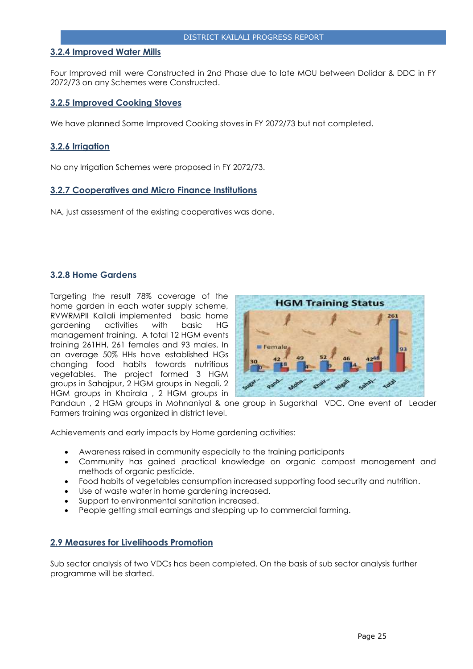## <span id="page-24-0"></span>**3.2.4 Improved Water Mills**

<span id="page-24-1"></span>Four Improved mill were Constructed in 2nd Phase due to late MOU between Dolidar & DDC in FY 2072/73 on any Schemes were Constructed.

## **3.2.5 Improved Cooking Stoves**

We have planned Some Improved Cooking stoves in FY 2072/73 but not completed.

## <span id="page-24-2"></span>**3.2.6 Irrigation**

No any Irrigation Schemes were proposed in FY 2072/73.

#### <span id="page-24-3"></span>**3.2.7 Cooperatives and Micro Finance Institutions**

<span id="page-24-4"></span>NA, just assessment of the existing cooperatives was done.

## **3.2.8 Home Gardens**

Targeting the result 78% coverage of the home garden in each water supply scheme, RVWRMPII Kailali implemented basic home gardening activities with basic HG management training. A total 12 HGM events training 261HH, 261 females and 93 males. In an average 50% HHs have established HGs changing food habits towards nutritious vegetables. The project formed 3 HGM groups in Sahajpur, 2 HGM groups in Negali, 2 HGM groups in Khairala , 2 HGM groups in



Pandaun , 2 HGM groups in Mohnaniyal & one group in Sugarkhal VDC. One event of Leader Farmers training was organized in district level.

Achievements and early impacts by Home gardening activities:

- Awareness raised in community especially to the training participants
- Community has gained practical knowledge on organic compost management and methods of organic pesticide.
- Food habits of vegetables consumption increased supporting food security and nutrition.
- Use of waste water in home gardening increased.
- Support to environmental sanitation increased.
- People getting small earnings and stepping up to commercial farming.

#### <span id="page-24-5"></span>**2.9 Measures for Livelihoods Promotion**

Sub sector analysis of two VDCs has been completed. On the basis of sub sector analysis further programme will be started.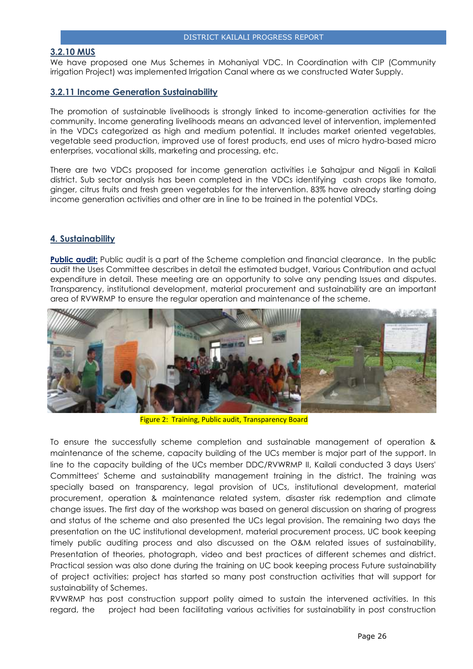#### <span id="page-25-0"></span>**3.2.10 MUS**

<span id="page-25-1"></span>We have proposed one Mus Schemes in Mohaniyal VDC. In Coordination with CIP (Community irrigation Project) was implemented Irrigation Canal where as we constructed Water Supply.

## **3.2.11 Income Generation Sustainability**

The promotion of [sustainable](http://www.fundsforngos.org/development-dictionary/sustainable-development/) livelihoods is strongly linked to income-generation activities for the [community.](http://www.fundsforngos.org/tag/community) Income generating livelihoods means an advanced level of intervention, implemented in the VDCs categorized as high and medium potential. It includes market oriented vegetables, vegetable seed production, improved use of forest products, end uses of micro hydro-based micro enterprises, vocational skills, marketing and processing, etc.

There are two VDCs proposed for income generation activities i.e Sahajpur and Nigali in Kailali district. Sub sector analysis has been completed in the VDCs identifying cash crops like tomato, ginger, citrus fruits and fresh green vegetables for the intervention. 83% have already starting doing income generation activities and other are in line to be trained in the potential VDCs.

## **4. Sustainability**

**Public audit:** Public audit is a part of the Scheme completion and financial clearance. In the public audit the Uses Committee describes in detail the estimated budget, Various Contribution and actual expenditure in detail. These meeting are an opportunity to solve any pending Issues and disputes. Transparency, institutional development, material procurement and sustainability are an important area of RVWRMP to ensure the regular operation and maintenance of the scheme.



Figure 2: Training, Public audit, Transparency Board

To ensure the successfully scheme completion and sustainable management of operation & maintenance of the scheme, capacity building of the UCs member is major part of the support. In line to the capacity building of the UCs member DDC/RVWRMP II, Kailali conducted 3 days Users' Committees' Scheme and sustainability management training in the district. The training was specially based on transparency, legal provision of UCs, institutional development, material procurement, operation & maintenance related system, disaster risk redemption and climate change issues. The first day of the workshop was based on general discussion on sharing of progress and status of the scheme and also presented the UCs legal provision. The remaining two days the presentation on the UC institutional development, material procurement process, UC book keeping timely public auditing process and also discussed on the O&M related issues of sustainability, Presentation of theories, photograph, video and best practices of different schemes and district. Practical session was also done during the training on UC book keeping process Future sustainability of project activities; project has started so many post construction activities that will support for sustainability of Schemes.

RVWRMP has post construction support polity aimed to sustain the intervened activities. In this regard, the project had been facilitating various activities for sustainability in post construction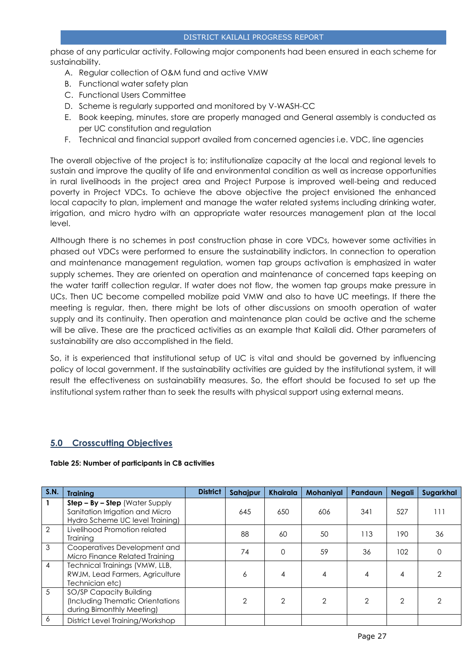phase of any particular activity. Following major components had been ensured in each scheme for sustainability.

- A. Regular collection of O&M fund and active VMW
- B. Functional water safety plan
- C. Functional Users Committee
- D. Scheme is regularly supported and monitored by V-WASH-CC
- E. Book keeping, minutes, store are properly managed and General assembly is conducted as per UC constitution and regulation
- F. Technical and financial support availed from concerned agencies i.e. VDC, line agencies

The overall objective of the project is to; institutionalize capacity at the local and regional levels to sustain and improve the quality of life and environmental condition as well as increase opportunities in rural livelihoods in the project area and Project Purpose is improved well-being and reduced poverty in Project VDCs. To achieve the above objective the project envisioned the enhanced local capacity to plan, implement and manage the water related systems including drinking water, irrigation, and micro hydro with an appropriate water resources management plan at the local level.

Although there is no schemes in post construction phase in core VDCs, however some activities in phased out VDCs were performed to ensure the sustainability indictors. In connection to operation and maintenance management regulation, women tap groups activation is emphasized in water supply schemes. They are oriented on operation and maintenance of concerned taps keeping on the water tariff collection regular. If water does not flow, the women tap groups make pressure in UCs. Then UC become compelled mobilize paid VMW and also to have UC meetings. If there the meeting is regular, then, there might be lots of other discussions on smooth operation of water supply and its continuity. Then operation and maintenance plan could be active and the scheme will be alive. These are the practiced activities as an example that Kailali did. Other parameters of sustainability are also accomplished in the field.

So, it is experienced that institutional setup of UC is vital and should be governed by influencing policy of local government. If the sustainability activities are guided by the institutional system, it will result the effectiveness on sustainability measures. So, the effort should be focused to set up the institutional system rather than to seek the results with physical support using external means.

## <span id="page-26-0"></span>**5.0 Crosscutting Objectives**

| S.N.          | <b>Training</b>                                                                                        | <b>District</b> | Sahajpur | <b>Khairala</b> | <b>Mohaniyal</b> | Pandaun | <b>Negali</b>  | Sugarkhal |
|---------------|--------------------------------------------------------------------------------------------------------|-----------------|----------|-----------------|------------------|---------|----------------|-----------|
|               | $Step - By - Step$ (Water Supply<br>Sanitation Irrigation and Micro<br>Hydro Scheme UC level Training) |                 | 645      | 650             | 606              | 341     | 527            | 111       |
| $\mathcal{P}$ | Livelihood Promotion related<br>Training                                                               |                 | 88       | 60              | 50               | 113     | 190            | 36        |
| 3             | Cooperatives Development and<br>Micro Finance Related Training                                         |                 | 74       | 0               | 59               | 36      | 102            | $\Omega$  |
| 4             | Technical Trainings (VMW, LLB,<br>RWJM, Lead Farmers, Agriculture<br>Technician etc)                   |                 | 6        | 4               | 4                |         | 4              |           |
| 5             | SO/SP Capacity Building<br>(Including Thematic Orientations<br>during Bimonthly Meeting)               |                 | 2        | $\mathcal{P}$   | 2                | 2       | $\overline{2}$ |           |
| 6             | District Level Training/Workshop                                                                       |                 |          |                 |                  |         |                |           |

#### **Table 25: Number of participants in CB activities**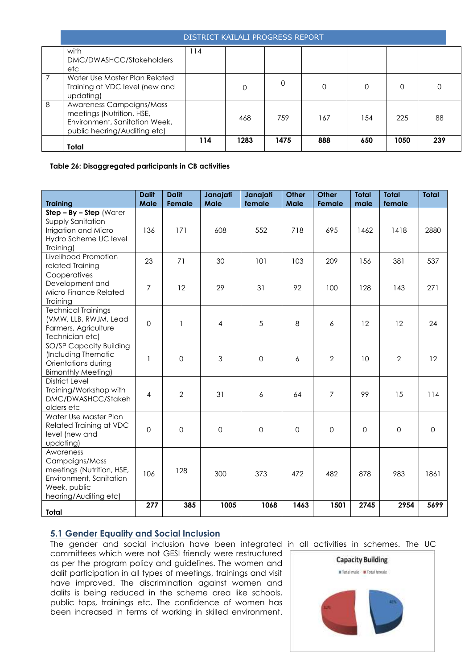|   | DISTRICT KAILALI PROGRESS REPORT                                                                                       |     |      |      |          |          |      |     |  |  |
|---|------------------------------------------------------------------------------------------------------------------------|-----|------|------|----------|----------|------|-----|--|--|
|   | with<br>DMC/DWASHCC/Stakeholders<br>etc                                                                                | 114 |      |      |          |          |      |     |  |  |
| 7 | Water Use Master Plan Related<br>Training at VDC level (new and<br>updating)                                           |     | 0    | 0    | $\Omega$ | $\Omega$ | 0    |     |  |  |
| 8 | Awareness Campaigns/Mass<br>meetings (Nutrition, HSE,<br>Environment, Sanitation Week,<br>public hearing/Auditing etc) |     | 468  | 759  | 167      | 154      | 225  | 88  |  |  |
|   | Total                                                                                                                  | 114 | 1283 | 1475 | 888      | 650      | 1050 | 239 |  |  |

**Table 26: Disaggregated participants in CB activities**

<span id="page-27-0"></span>

| <b>Training</b>                                                                                                              | <b>Dalit</b><br>Male | <b>Dalit</b><br>Female | Janajati<br><b>Male</b> | Janajati<br>female  | <b>Other</b><br><b>Male</b> | <b>Other</b><br>Female | <b>Total</b><br>male | <b>Total</b><br>female | <b>Total</b> |
|------------------------------------------------------------------------------------------------------------------------------|----------------------|------------------------|-------------------------|---------------------|-----------------------------|------------------------|----------------------|------------------------|--------------|
| $Step - By - Step (Water)$                                                                                                   |                      |                        |                         |                     |                             |                        |                      |                        |              |
| Supply Sanitation<br>Irrigation and Micro<br>Hydro Scheme UC level<br>Training)                                              | 136                  | 171                    | 608                     | 552                 | 718                         | 695                    | 1462                 | 1418                   | 2880         |
| Livelihood Promotion<br>related Training                                                                                     | 23                   | 71                     | 30                      | 101                 | 103                         | 209                    | 156                  | 381                    | 537          |
| Cooperatives<br>Development and<br>Micro Finance Related<br>Training                                                         | 7                    | 12                     | 29                      | 31                  | 92                          | 100                    | 128                  | 143                    | 271          |
| <b>Technical Trainings</b><br>(VMW, LLB, RWJM, Lead<br>Farmers, Agriculture<br>Technician etc)                               | $\mathbf 0$          | $\mathbf{1}$           | $\overline{4}$          | 5                   | 8                           | 6                      | 12                   | 12                     | 24           |
| SO/SP Capacity Building<br>(Including Thematic<br>Orientations during<br><b>Bimonthly Meeting)</b>                           | $\mathbf{1}$         | $\mathbf 0$            | $\mathfrak{Z}$          | $\mathsf{O}\xspace$ | 6                           | $\overline{2}$         | 10                   | $\overline{2}$         | 12           |
| <b>District Level</b><br>Training/Workshop with<br>DMC/DWASHCC/Stakeh<br>olders etc                                          | $\overline{4}$       | $\overline{2}$         | 31                      | 6                   | 64                          | $\overline{7}$         | 99                   | 15                     | 114          |
| Water Use Master Plan<br>Related Training at VDC<br>level (new and<br>updating)                                              | $\overline{0}$       | 0                      | $\Omega$                | $\mathbf 0$         | $\Omega$                    | $\mathbf 0$            | $\mathbf 0$          | $\mathbf 0$            | $\Omega$     |
| Awareness<br>Campaigns/Mass<br>meetings (Nutrition, HSE,<br>Environment, Sanitation<br>Week, public<br>hearing/Auditing etc) | 106                  | 128                    | 300                     | 373                 | 472                         | 482                    | 878                  | 983                    | 1861         |
| Total                                                                                                                        | 277                  | 385                    | 1005                    | 1068                | 1463                        | 1501                   | 2745                 | 2954                   | 5699         |

## **5.1 Gender Equality and Social Inclusion**

The gender and social inclusion have been integrated in all activities in schemes. The UC committees which were not GESI friendly were restructured as per the program policy and guidelines. The women and dalit participation in all types of meetings, trainings and visit have improved. The discrimination against women and dalits is being reduced in the scheme area like schools, public taps, trainings etc. The confidence of women has been increased in terms of working in skilled environment.

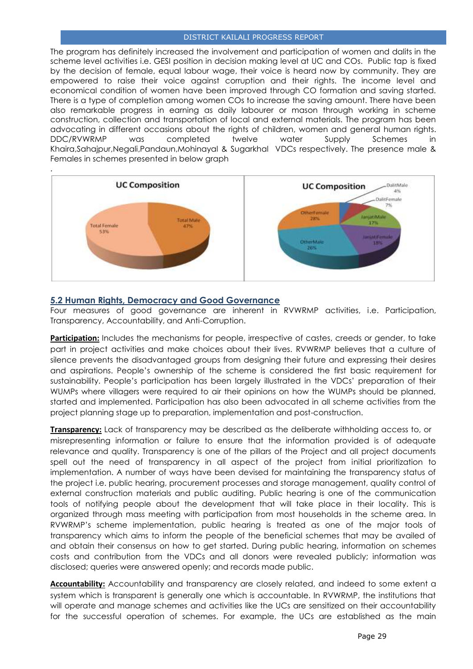The program has definitely increased the involvement and participation of women and dalits in the scheme level activities i.e. GESI position in decision making level at UC and COs. Public tap is fixed by the decision of female, equal labour wage, their voice is heard now by community. They are empowered to raise their voice against corruption and their rights. The income level and economical condition of women have been improved through CO formation and saving started. There is a type of completion among women COs to increase the saving amount. There have been also remarkable progress in earning as daily labourer or mason through working in scheme construction, collection and transportation of local and external materials. The program has been advocating in different occasions about the rights of children, women and general human rights. DDC/RVWRMP was completed twelve water Supply Schemes in Khaira,Sahajpur,Negali,Pandaun,Mohinayal & Sugarkhal VDCs respectively. The presence male & Females in schemes presented in below graph



## <span id="page-28-0"></span>**5.2 Human Rights, Democracy and Good Governance**

Four measures of good governance are inherent in RVWRMP activities, i.e. Participation, Transparency, Accountability, and Anti-Corruption.

**Participation:** Includes the mechanisms for people, irrespective of castes, creeds or gender, to take part in project activities and make choices about their lives. RVWRMP believes that a culture of silence prevents the disadvantaged groups from designing their future and expressing their desires and aspirations. People's ownership of the scheme is considered the first basic requirement for sustainability. People's participation has been largely illustrated in the VDCs' preparation of their WUMPs where villagers were required to air their opinions on how the WUMPs should be planned, started and implemented. Participation has also been advocated in all scheme activities from the project planning stage up to preparation, implementation and post-construction.

**Transparency:** Lack of transparency may be described as the deliberate withholding access to, or misrepresenting information or failure to ensure that the information provided is of adequate relevance and quality. Transparency is one of the pillars of the Project and all project documents spell out the need of transparency in all aspect of the project from initial prioritization to implementation. A number of ways have been devised for maintaining the transparency status of the project i.e. public hearing, procurement processes and storage management, quality control of external construction materials and public auditing. Public hearing is one of the communication tools of notifying people about the development that will take place in their locality. This is organized through mass meeting with participation from most households in the scheme area. In RVWRMP's scheme implementation, public hearing is treated as one of the major tools of transparency which aims to inform the people of the beneficial schemes that may be availed of and obtain their consensus on how to get started. During public hearing, information on schemes costs and contribution from the VDCs and all donors were revealed publicly; information was disclosed; queries were answered openly; and records made public.

**Accountability:** Accountability and transparency are closely related, and indeed to some extent a system which is transparent is generally one which is accountable. In RVWRMP, the institutions that will operate and manage schemes and activities like the UCs are sensitized on their accountability for the successful operation of schemes. For example, the UCs are established as the main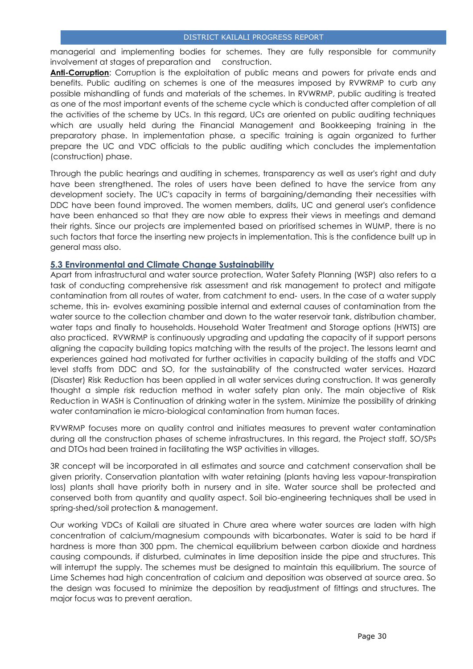managerial and implementing bodies for schemes. They are fully responsible for community involvement at stages of preparation and construction.

**Anti-Corruption**: Corruption is the exploitation of public means and powers for private ends and benefits. Public auditing on schemes is one of the measures imposed by RVWRMP to curb any possible mishandling of funds and materials of the schemes. In RVWRMP, public auditing is treated as one of the most important events of the scheme cycle which is conducted after completion of all the activities of the scheme by UCs. In this regard, UCs are oriented on public auditing techniques which are usually held during the Financial Management and Bookkeeping training in the preparatory phase. In implementation phase, a specific training is again organized to further prepare the UC and VDC officials to the public auditing which concludes the implementation (construction) phase.

Through the public hearings and auditing in schemes, transparency as well as user's right and duty have been strengthened. The roles of users have been defined to have the service from any development society. The UC's capacity in terms of bargaining/demanding their necessities with DDC have been found improved. The women members, dalits, UC and general user's confidence have been enhanced so that they are now able to express their views in meetings and demand their rights. Since our projects are implemented based on prioritised schemes in WUMP, there is no such factors that force the inserting new projects in implementation. This is the confidence built up in general mass also.

## <span id="page-29-0"></span>**5.3 Environmental and Climate Change Sustainability**

Apart from infrastructural and water source protection, Water Safety Planning (WSP) also refers to a task of conducting comprehensive risk assessment and risk management to protect and mitigate contamination from all routes of water, from catchment to end‐ users. In the case of a water supply scheme, this in‐ evolves examining possible internal and external causes of contamination from the water source to the collection chamber and down to the water reservoir tank, distribution chamber, water taps and finally to households. Household Water Treatment and Storage options (HWTS) are also practiced. RVWRMP is continuously upgrading and updating the capacity of it support persons aligning the capacity building topics matching with the results of the project. The lessons learnt and experiences gained had motivated for further activities in capacity building of the staffs and VDC level staffs from DDC and SO, for the sustainability of the constructed water services. Hazard (Disaster) Risk Reduction has been applied in all water services during construction. It was generally thought a simple risk reduction method in water safety plan only. The main objective of Risk Reduction in WASH is Continuation of drinking water in the system. Minimize the possibility of drinking water contamination ie micro-biological contamination from human faces.

RVWRMP focuses more on quality control and initiates measures to prevent water contamination during all the construction phases of scheme infrastructures. In this regard, the Project staff, SO/SPs and DTOs had been trained in facilitating the WSP activities in villages.

3R concept will be incorporated in all estimates and source and catchment conservation shall be given priority. Conservation plantation with water retaining (plants having less vapour-transpiration loss) plants shall have priority both in nursery and in site. Water source shall be protected and conserved both from quantity and quality aspect. Soil bio-engineering techniques shall be used in spring-shed/soil protection & management.

Our working VDCs of Kailali are situated in Chure area where water sources are laden with high concentration of calcium/magnesium compounds with bicarbonates. Water is said to be hard if hardness is more than 300 ppm. The chemical equilibrium between carbon dioxide and hardness causing compounds, if disturbed, culminates in lime deposition inside the pipe and structures. This will interrupt the supply. The schemes must be designed to maintain this equilibrium. The source of Lime Schemes had high concentration of calcium and deposition was observed at source area. So the design was focused to minimize the deposition by readjustment of fittings and structures. The major focus was to prevent aeration.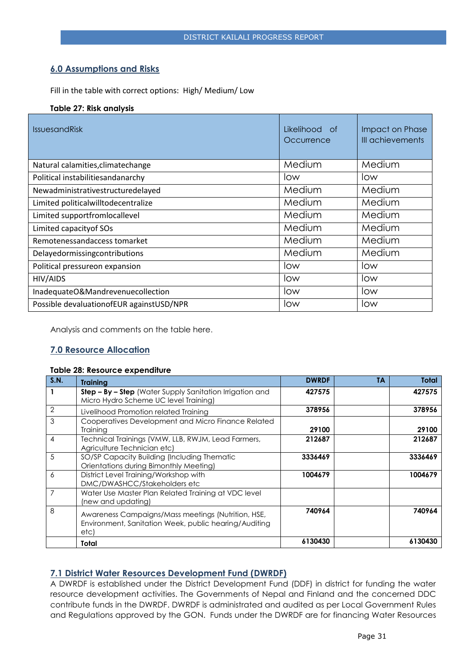## <span id="page-30-0"></span>**6.0 Assumptions and Risks**

Fill in the table with correct options: High/ Medium/ Low

#### **Table 27: Risk analysis**

| <b>IssuesandRisk</b>                        | Likelihood of<br>Occurrence | Impact on Phase<br>III achievements |
|---------------------------------------------|-----------------------------|-------------------------------------|
| Natural calamities, climate change          | Medium                      | Medium                              |
| Political instabilities and anarchy         | low                         | low                                 |
| Newadministrativestructuredelayed           | Medium                      | Medium                              |
| Limited politicalwilltodecentralize         | Medium                      | Medium                              |
| Limited supportfromlocallevel               | Medium                      | Medium                              |
| Limited capacity of SOs                     | Medium                      | Medium                              |
| Remotenessandaccess tomarket                | Medium                      | Medium                              |
| Delayedormissingcontributions               | Medium                      | Medium                              |
| Political pressureon expansion              | low                         | low                                 |
| HIV/AIDS                                    | low                         | low                                 |
| InadequateO&Mandrevenuecollection           | low                         | low                                 |
| Possible devaluation of EUR against USD/NPR | low                         | low                                 |

<span id="page-30-1"></span>Analysis and comments on the table here.

## **7.0 Resource Allocation**

#### **Table 28: Resource expenditure**

| S.N.           | <b>Training</b>                                                                                                     | <b>DWRDF</b> | <b>TA</b> | Total   |
|----------------|---------------------------------------------------------------------------------------------------------------------|--------------|-----------|---------|
|                | <b>Step - By - Step</b> (Water Supply Sanitation Irrigation and<br>Micro Hydro Scheme UC level Training)            | 427575       |           | 427575  |
| $\overline{2}$ | Livelihood Promotion related Training                                                                               | 378956       |           | 378956  |
| 3              | Cooperatives Development and Micro Finance Related<br><b>Training</b>                                               | 29100        |           | 29100   |
| 4              | Technical Trainings (VMW, LLB, RWJM, Lead Farmers,<br>Agriculture Technician etc)                                   | 212687       |           | 212687  |
| 5              | SO/SP Capacity Building (Including Thematic<br>Orientations during Bimonthly Meeting)                               | 3336469      |           | 3336469 |
| 6              | District Level Training/Workshop with<br>DMC/DWASHCC/Stakeholders etc                                               | 1004679      |           | 1004679 |
| $\overline{7}$ | Water Use Master Plan Related Training at VDC level<br>(new and updating)                                           |              |           |         |
| 8              | Awareness Campaigns/Mass meetings (Nutrition, HSE,<br>Environment, Sanitation Week, public hearing/Auditing<br>etc) | 740964       |           | 740964  |
|                | Total                                                                                                               | 6130430      |           | 6130430 |

## <span id="page-30-2"></span>**7.1 District Water Resources Development Fund (DWRDF)**

A DWRDF is established under the District Development Fund (DDF) in district for funding the water resource development activities. The Governments of Nepal and Finland and the concerned DDC contribute funds in the DWRDF. DWRDF is administrated and audited as per Local Government Rules and Regulations approved by the GON. Funds under the DWRDF are for financing Water Resources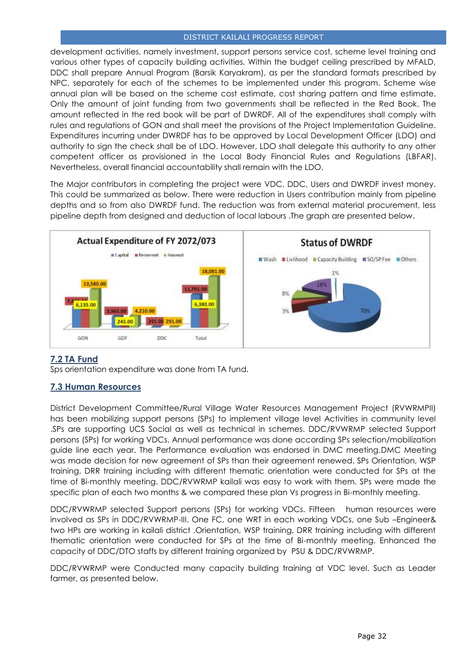development activities, namely investment, support persons service cost, scheme level training and various other types of capacity building activities. Within the budget ceiling prescribed by MFALD, DDC shall prepare Annual Program (Barsik Karyakram), as per the standard formats prescribed by NPC, separately for each of the schemes to be implemented under this program. Scheme wise annual plan will be based on the scheme cost estimate, cost sharing pattern and time estimate. Only the amount of joint funding from two governments shall be reflected in the Red Book. The amount reflected in the red book will be part of DWRDF. All of the expenditures shall comply with rules and regulations of GON and shall meet the provisions of the Project Implementation Guideline. Expenditures incurring under DWRDF has to be approved by Local Development Officer (LDO) and authority to sign the check shall be of LDO. However, LDO shall delegate this authority to any other competent officer as provisioned in the Local Body Financial Rules and Regulations (LBFAR). Nevertheless, overall financial accountability shall remain with the LDO.

The Major contributors in completing the project were VDC, DDC, Users and DWRDF invest money. This could be summarized as below. There were reduction in Users contribution mainly from pipeline depths and so from also DWRDF fund. The reduction was from external material procurement, less pipeline depth from designed and deduction of local labours .The graph are presented below.

<span id="page-31-0"></span>

## **7.2 TA Fund**

Sps orientation expenditure was done from TA fund.

## <span id="page-31-1"></span>**7.3 Human Resources**

District Development Committee/Rural Village Water Resources Management Project (RVWRMPII) has been mobilizing support persons (SPs) to implement village level Activities in community level .SPs are supporting UCS Social as well as technical in schemes. DDC/RVWRMP selected Support persons (SPs) for working VDCs. Annual performance was done according SPs selection/mobilization guide line each year. The Performance evaluation was endorsed in DMC meeting.DMC Meeting was made decision for new agreement of SPs than their agreement renewed. SPs Orientation, WSP training, DRR training including with different thematic orientation were conducted for SPs at the time of Bi-monthly meeting. DDC/RVWRMP kailali was easy to work with them. SPs were made the specific plan of each two months & we compared these plan Vs progress in Bi-monthly meeting.

DDC/RVWRMP selected Support persons (SPs) for working VDCs. Fifteen human resources were involved as SPs in DDC/RVWRMP-III. One FC, one WRT in each working VDCs, one Sub –Engineer& two HPs are working in kailali district .Orientation, WSP training, DRR training including with different thematic orientation were conducted for SPs at the time of Bi-monthly meeting. Enhanced the capacity of DDC/DTO staffs by different training organized by PSU & DDC/RVWRMP.

DDC/RVWRMP were Conducted many capacity building training at VDC level. Such as Leader farmer, as presented below.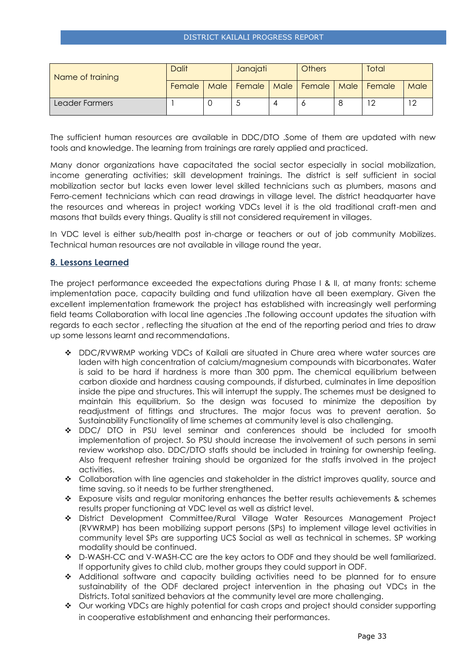| Name of training | <b>Dalit</b> |  | Janajati                                      |  | <b>Others</b> |  | Total |      |
|------------------|--------------|--|-----------------------------------------------|--|---------------|--|-------|------|
|                  | Female       |  | Male   Female   Male   Female   Male   Female |  |               |  |       | Male |
| Leader Farmers   |              |  |                                               |  |               |  |       |      |

The sufficient human resources are available in DDC/DTO .Some of them are updated with new tools and knowledge. The learning from trainings are rarely applied and practiced.

Many donor organizations have capacitated the social sector especially in social mobilization, income generating activities; skill development trainings. The district is self sufficient in social mobilization sector but lacks even lower level skilled technicians such as plumbers, masons and Ferro-cement technicians which can read drawings in village level. The district headquarter have the resources and whereas in project working VDCs level it is the old traditional craft-men and masons that builds every things. Quality is still not considered requirement in villages.

In VDC level is either sub/health post in-charge or teachers or out of job community Mobilizes. Technical human resources are not available in village round the year.

## <span id="page-32-0"></span>**8. Lessons Learned**

The project performance exceeded the expectations during Phase I & II, at many fronts: scheme implementation pace, capacity building and fund utilization have all been exemplary. Given the excellent implementation framework the project has established with increasingly well performing field teams Collaboration with local line agencies .The following account updates the situation with regards to each sector , reflecting the situation at the end of the reporting period and tries to draw up some lessons learnt and recommendations.

- DDC/RVWRMP working VDCs of Kailali are situated in Chure area where water sources are laden with high concentration of calcium/magnesium compounds with bicarbonates. Water is said to be hard if hardness is more than 300 ppm. The chemical equilibrium between carbon dioxide and hardness causing compounds, if disturbed, culminates in lime deposition inside the pipe and structures. This will interrupt the supply. The schemes must be designed to maintain this equilibrium. So the design was focused to minimize the deposition by readjustment of fittings and structures. The major focus was to prevent aeration. So Sustainability Functionality of lime schemes at community level is also challenging.
- DDC/ DTO in PSU level seminar and conferences should be included for smooth implementation of project. So PSU should increase the involvement of such persons in semi review workshop also. DDC/DTO staffs should be included in training for ownership feeling. Also frequent refresher training should be organized for the staffs involved in the project activities.
- Collaboration with line agencies and stakeholder in the district improves quality, source and time saving. so it needs to be further strengthened.
- \* Exposure visits and regular monitoring enhances the better results achievements & schemes results proper functioning at VDC level as well as district level.
- District Development Committee/Rural Village Water Resources Management Project (RVWRMP) has been mobilizing support persons (SPs) to implement village level activities in community level SPs are supporting UCS Social as well as technical in schemes. SP working modality should be continued.
- \* D-WASH-CC and V-WASH-CC are the key actors to ODF and they should be well familiarized. If opportunity gives to child club, mother groups they could support in ODF.
- Additional software and capacity building activities need to be planned for to ensure sustainability of the ODF declared project intervention in the phasing out VDCs in the Districts. Total sanitized behaviors at the community level are more challenging.
- ◆ Our working VDCs are highly potential for cash crops and project should consider supporting in cooperative establishment and enhancing their performances.